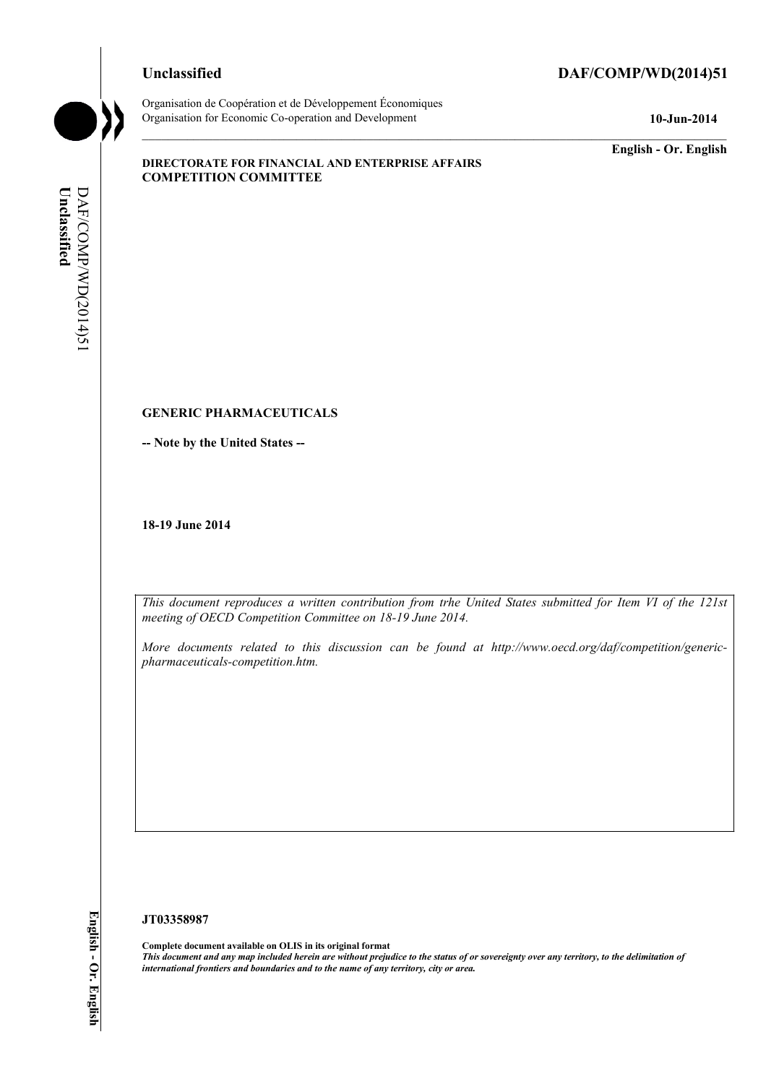#### **Unclassified DAF/COMP/WD(2014)51**



Organisation de Coopération et de Développement Économiques Organisation for Economic Co-operation and Development **10-Jun-2014** 

**English - Or. English** 

#### **DIRECTORATE FOR FINANCIAL AND ENTERPRISE AFFAIRS COMPETITION COMMITTEE**

# DAF/COMP/WD(2014)51 Unclassified **Unclassified**  DAF/COMP/WD(2014)51

#### **GENERIC PHARMACEUTICALS**

**-- Note by the United States --** 

**18-19 June 2014** 

 *This document reproduces a written contribution from trhe United States submitted for Item VI of the 121st*  meeting of OECD Competition Committee on 18-19 June 2014.<br>More documents related to this discussion can be found at http://www.oecd.org/daf/competition/generic-

*pharmaceuticals-competition.htm.* 

#### **JT03358987**

 **Complete document available on OLIS in its original format**   *This document and any map included herein are without prejudice to the status of or sovereignty over any territory, to the delimitation of international frontiers and boundaries and to the name of any territory, city or area.*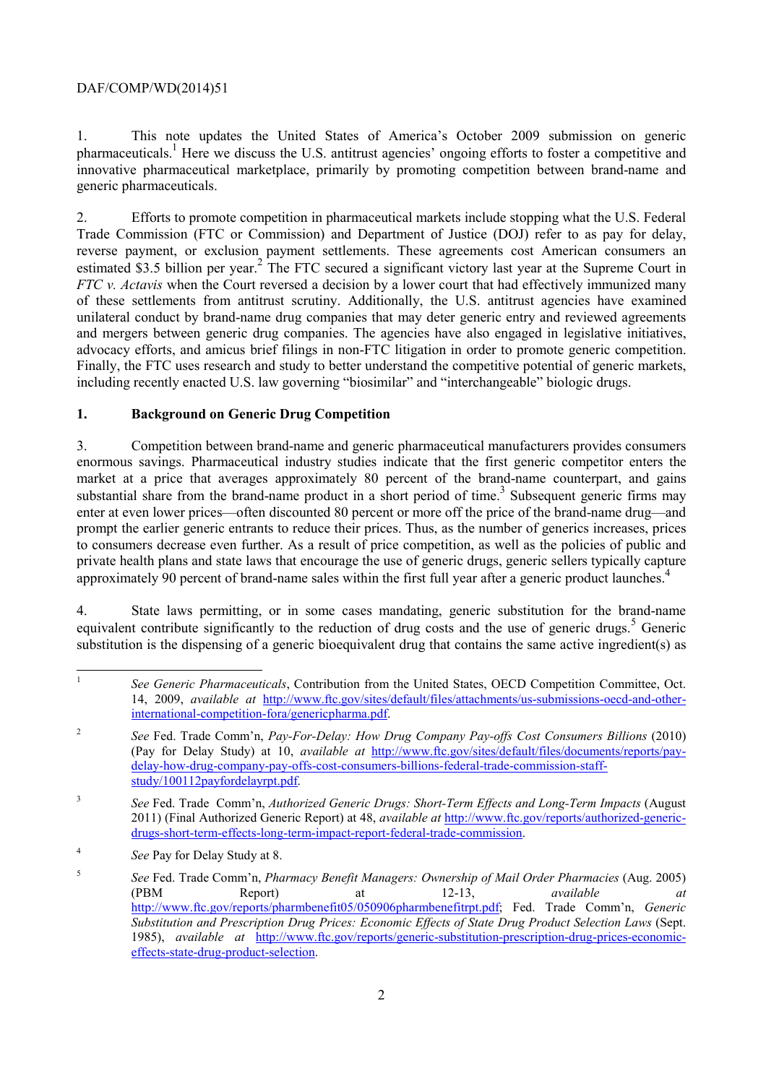1. This note updates the United States of America's October 2009 submission on generic pharmaceuticals.<sup>1</sup> Here we discuss the U.S. antitrust agencies' ongoing efforts to foster a competitive and innovative pharmaceutical marketplace, primarily by promoting competition between brand-name and generic pharmaceuticals.

2. Efforts to promote competition in pharmaceutical markets include stopping what the U.S. Federal Trade Commission (FTC or Commission) and Department of Justice (DOJ) refer to as pay for delay, reverse payment, or exclusion payment settlements. These agreements cost American consumers an estimated \$3.5 billion per year.<sup>2</sup> The FTC secured a significant victory last year at the Supreme Court in *FTC v. Actavis* when the Court reversed a decision by a lower court that had effectively immunized many of these settlements from antitrust scrutiny. Additionally, the U.S. antitrust agencies have examined unilateral conduct by brand-name drug companies that may deter generic entry and reviewed agreements and mergers between generic drug companies. The agencies have also engaged in legislative initiatives, advocacy efforts, and amicus brief filings in non-FTC litigation in order to promote generic competition. Finally, the FTC uses research and study to better understand the competitive potential of generic markets, including recently enacted U.S. law governing "biosimilar" and "interchangeable" biologic drugs.

#### **1. Background on Generic Drug Competition**

 prompt the earlier generic entrants to reduce their prices. Thus, as the number of generics increases, prices 3. Competition between brand-name and generic pharmaceutical manufacturers provides consumers enormous savings. Pharmaceutical industry studies indicate that the first generic competitor enters the market at a price that averages approximately 80 percent of the brand-name counterpart, and gains substantial share from the brand-name product in a short period of time.<sup>3</sup> Subsequent generic firms may enter at even lower prices—often discounted 80 percent or more off the price of the brand-name drug—and to consumers decrease even further. As a result of price competition, as well as the policies of public and private health plans and state laws that encourage the use of generic drugs, generic sellers typically capture approximately 90 percent of brand-name sales within the first full year after a generic product launches. $4$ 

4. State laws permitting, or in some cases mandating, generic substitution for the brand-name equivalent contribute significantly to the reduction of drug costs and the use of generic drugs.<sup>5</sup> Generic substitution is the dispensing of a generic bioequivalent drug that contains the same active ingredient(s) as

 See Generic Pharmaceuticals, Contribution from the United States, OECD Competition Committee, Oct. 14, 2009, *available at* http://www.ftc.gov/sites/default/files/attachments/us-submissions-oecd-and-otherinternational-competition-fora/genericpharma.pdf.

<sup>&</sup>lt;sup>2</sup> *See Fed. Trade Comm'n, Pay-For-Delay: How Drug Company Pay-offs Cost Consumers Billions* (2010) (Pay for Delay Study) at 10, *available at* http://www.ftc.gov/sites/default/files/documents/reports/paydelay-how-drug-company-pay-offs-cost-consumers-billions-federal-trade-commission-staffstudy/100112payfordelayrpt.pdf.

 $\overline{\mathbf{3}}$ <sup>3</sup> *See* Fed. Trade Comm'n, *Authorized Generic Drugs: Short-Term Effects and Long-Term Impacts* (August 2011) (Final Authorized Generic Report) at 48, *available at* http://www.ftc.gov/reports/authorized-genericdrugs-short-term-effects-long-term-impact-report-federal-trade-commission.

<sup>4</sup> *See* Pay for Delay Study at 8.

<sup>5</sup> *See* Fed. Trade Comm'n, *Pharmacy Benefit Managers: Ownership of Mail Order Pharmacies* (Aug. 2005) (PBM Report) at 12-13, *available at*  http://www.ftc.gov/reports/pharmbenefit05/050906pharmbenefitrpt.pdf; Fed. Trade Comm'n, *Generic Substitution and Prescription Drug Prices: Economic Effects of State Drug Product Selection Laws* (Sept. 1985), *available at* http://www.ftc.gov/reports/generic-substitution-prescription-drug-prices-economiceffects-state-drug-product-selection.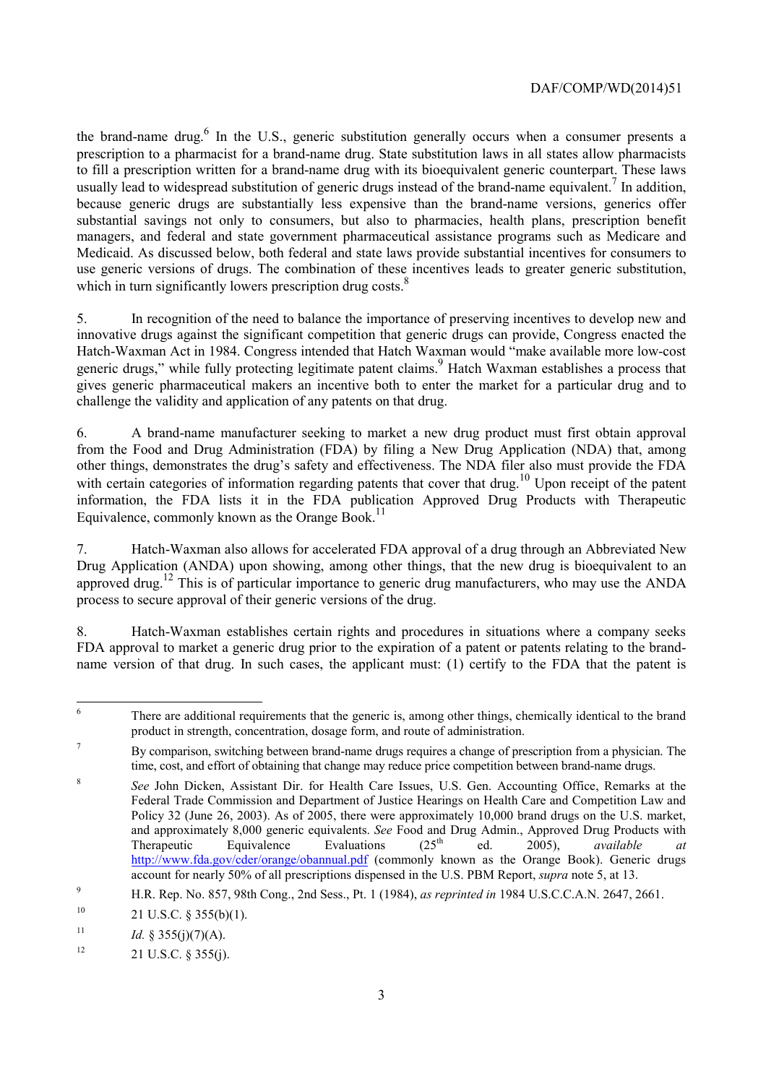the brand-name drug. $<sup>6</sup>$  In the U.S., generic substitution generally occurs when a consumer presents a</sup> to fill a prescription written for a brand-name drug with its bioequivalent generic counterpart. These laws usually lead to widespread substitution of generic drugs instead of the brand-name equivalent.<sup>7</sup> In addition, prescription to a pharmacist for a brand-name drug. State substitution laws in all states allow pharmacists because generic drugs are substantially less expensive than the brand-name versions, generics offer substantial savings not only to consumers, but also to pharmacies, health plans, prescription benefit managers, and federal and state government pharmaceutical assistance programs such as Medicare and Medicaid. As discussed below, both federal and state laws provide substantial incentives for consumers to use generic versions of drugs. The combination of these incentives leads to greater generic substitution, which in turn significantly lowers prescription drug costs.<sup>8</sup>

5. In recognition of the need to balance the importance of preserving incentives to develop new and innovative drugs against the significant competition that generic drugs can provide, Congress enacted the Hatch-Waxman Act in 1984. Congress intended that Hatch Waxman would "make available more low-cost generic drugs," while fully protecting legitimate patent claims.<sup>9</sup> Hatch Waxman establishes a process that gives generic pharmaceutical makers an incentive both to enter the market for a particular drug and to challenge the validity and application of any patents on that drug.

 other things, demonstrates the drug's safety and effectiveness. The NDA filer also must provide the FDA 6. A brand-name manufacturer seeking to market a new drug product must first obtain approval from the Food and Drug Administration (FDA) by filing a New Drug Application (NDA) that, among with certain categories of information regarding patents that cover that drug.<sup>10</sup> Upon receipt of the patent information, the FDA lists it in the FDA publication Approved Drug Products with Therapeutic Equivalence, commonly known as the Orange Book.<sup>11</sup>

 Drug Application (ANDA) upon showing, among other things, that the new drug is bioequivalent to an 7. Hatch-Waxman also allows for accelerated FDA approval of a drug through an Abbreviated New approved drug.<sup>12</sup> This is of particular importance to generic drug manufacturers, who may use the ANDA process to secure approval of their generic versions of the drug.

8. Hatch-Waxman establishes certain rights and procedures in situations where a company seeks FDA approval to market a generic drug prior to the expiration of a patent or patents relating to the brandname version of that drug. In such cases, the applicant must: (1) certify to the FDA that the patent is

 $\overline{a}$ There are additional requirements that the generic is, among other things, chemically identical to the brand product in strength, concentration, dosage form, and route of administration.

<sup>&</sup>lt;sup>7</sup> By comparison, switching between brand-name drugs requires a change of prescription from a physician. The time, cost, and effort of obtaining that change may reduce price competition between brand-name drugs.

 Policy 32 (June 26, 2003). As of 2005, there were approximately 10,000 brand drugs on the U.S. market, and approximately 8,000 generic equivalents. *See* Food and Drug Admin., Approved Drug Products with account for nearly 50% of all prescriptions dispensed in the U.S. PBM Report, *supra* note 5, at 13. <sup>8</sup> See John Dicken, Assistant Dir. for Health Care Issues, U.S. Gen. Accounting Office, Remarks at the Federal Trade Commission and Department of Justice Hearings on Health Care and Competition Law and Therapeutic Equivalence Evaluations (25<sup>th</sup> ed. 2005), *available at* http://www.fda.gov/cder/orange/obannual.pdf (commonly known as the Orange Book). Generic drugs

<sup>9</sup> H.R. Rep. No. 857, 98th Cong., 2nd Sess., Pt. 1 (1984), *as reprinted in* 1984 U.S.C.C.A.N. 2647, 2661.

 $10$ 21 U.S.C. § 355(b)(1).

<sup>11</sup> *Id.* § 355(j)(7)(A).

 $12$  $21 \text{ U.S.C. }$  § 355(j).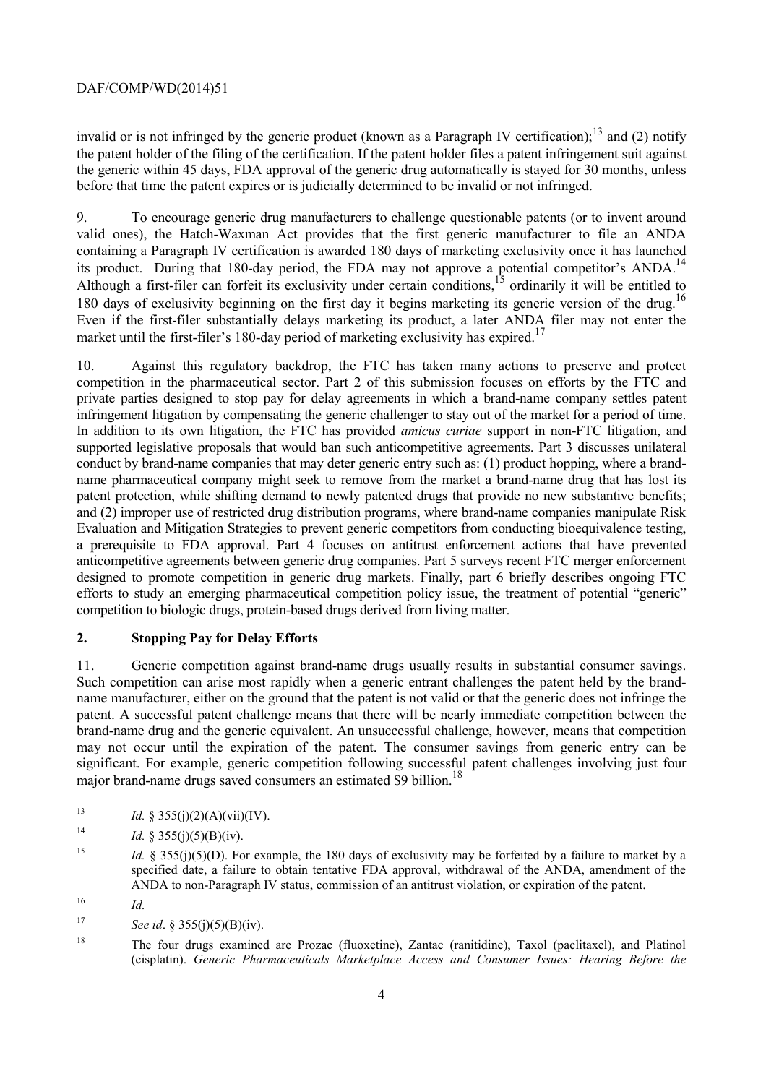before that time the patent expires or is judicially determined to be invalid or not infringed. invalid or is not infringed by the generic product (known as a Paragraph IV certification);<sup>13</sup> and (2) notify the patent holder of the filing of the certification. If the patent holder files a patent infringement suit against the generic within 45 days, FDA approval of the generic drug automatically is stayed for 30 months, unless

 Even if the first-filer substantially delays marketing its product, a later ANDA filer may not enter the 9. To encourage generic drug manufacturers to challenge questionable patents (or to invent around valid ones), the Hatch-Waxman Act provides that the first generic manufacturer to file an ANDA containing a Paragraph IV certification is awarded 180 days of marketing exclusivity once it has launched its product. During that 180-day period, the FDA may not approve a potential competitor's ANDA.<sup>14</sup> Although a first-filer can forfeit its exclusivity under certain conditions,<sup>15</sup> ordinarily it will be entitled to 180 days of exclusivity beginning on the first day it begins marketing its generic version of the drug.<sup>16</sup> market until the first-filer's 180-day period of marketing exclusivity has expired.<sup>17</sup>

 name pharmaceutical company might seek to remove from the market a brand-name drug that has lost its competition to biologic drugs, protein-based drugs derived from living matter. 10. Against this regulatory backdrop, the FTC has taken many actions to preserve and protect competition in the pharmaceutical sector. Part 2 of this submission focuses on efforts by the FTC and private parties designed to stop pay for delay agreements in which a brand-name company settles patent infringement litigation by compensating the generic challenger to stay out of the market for a period of time. In addition to its own litigation, the FTC has provided *amicus curiae* support in non-FTC litigation, and supported legislative proposals that would ban such anticompetitive agreements. Part 3 discusses unilateral conduct by brand-name companies that may deter generic entry such as: (1) product hopping, where a brandpatent protection, while shifting demand to newly patented drugs that provide no new substantive benefits; and (2) improper use of restricted drug distribution programs, where brand-name companies manipulate Risk Evaluation and Mitigation Strategies to prevent generic competitors from conducting bioequivalence testing, a prerequisite to FDA approval. Part 4 focuses on antitrust enforcement actions that have prevented anticompetitive agreements between generic drug companies. Part 5 surveys recent FTC merger enforcement designed to promote competition in generic drug markets. Finally, part 6 briefly describes ongoing FTC efforts to study an emerging pharmaceutical competition policy issue, the treatment of potential "generic"

## **2. Stopping Pay for Delay Efforts**

major brand-name drugs saved consumers an estimated \$9 billion.<sup>18</sup> 11. Generic competition against brand-name drugs usually results in substantial consumer savings. Such competition can arise most rapidly when a generic entrant challenges the patent held by the brandname manufacturer, either on the ground that the patent is not valid or that the generic does not infringe the patent. A successful patent challenge means that there will be nearly immediate competition between the brand-name drug and the generic equivalent. An unsuccessful challenge, however, means that competition may not occur until the expiration of the patent. The consumer savings from generic entry can be significant. For example, generic competition following successful patent challenges involving just four

 $16$  *Id.* 

 $17$ *See id.* § 355(j)(5)(B)(iv).

*Id.* § 355(j)(2)(A)(vii)(IV).

 $14$ *Id.* § 355(j)(5)(B)(iv).

<sup>&</sup>lt;sup>15</sup> *Id.* § 355(j)(5)(D). For example, the 180 days of exclusivity may be forfeited by a failure to market by a specified date, a failure to obtain tentative FDA approval, withdrawal of the ANDA, amendment of the ANDA to non-Paragraph IV status, commission of an antitrust violation, or expiration of the patent.

<sup>18</sup> The four drugs examined are Prozac (fluoxetine), Zantac (ranitidine), Taxol (paclitaxel), and Platinol (cisplatin). *Generic Pharmaceuticals Marketplace Access and Consumer Issues: Hearing Before the*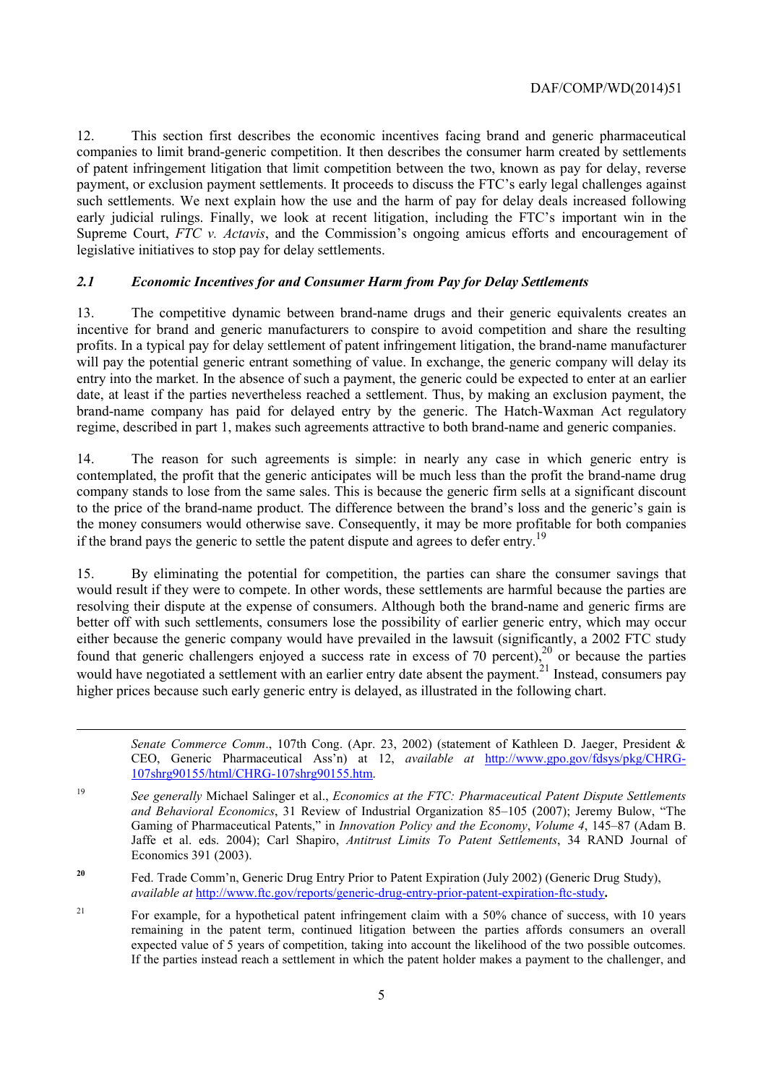12. This section first describes the economic incentives facing brand and generic pharmaceutical companies to limit brand-generic competition. It then describes the consumer harm created by settlements of patent infringement litigation that limit competition between the two, known as pay for delay, reverse payment, or exclusion payment settlements. It proceeds to discuss the FTC's early legal challenges against such settlements. We next explain how the use and the harm of pay for delay deals increased following early judicial rulings. Finally, we look at recent litigation, including the FTC's important win in the Supreme Court, *FTC v. Actavis*, and the Commission's ongoing amicus efforts and encouragement of legislative initiatives to stop pay for delay settlements.

#### *2.1 Economic Incentives for and Consumer Harm from Pay for Delay Settlements*

 incentive for brand and generic manufacturers to conspire to avoid competition and share the resulting 13. The competitive dynamic between brand-name drugs and their generic equivalents creates an profits. In a typical pay for delay settlement of patent infringement litigation, the brand-name manufacturer will pay the potential generic entrant something of value. In exchange, the generic company will delay its entry into the market. In the absence of such a payment, the generic could be expected to enter at an earlier date, at least if the parties nevertheless reached a settlement. Thus, by making an exclusion payment, the brand-name company has paid for delayed entry by the generic. The Hatch-Waxman Act regulatory regime, described in part 1, makes such agreements attractive to both brand-name and generic companies.

14. The reason for such agreements is simple: in nearly any case in which generic entry is contemplated, the profit that the generic anticipates will be much less than the profit the brand-name drug company stands to lose from the same sales. This is because the generic firm sells at a significant discount to the price of the brand-name product. The difference between the brand's loss and the generic's gain is the money consumers would otherwise save. Consequently, it may be more profitable for both companies if the brand pays the generic to settle the patent dispute and agrees to defer entry.<sup>19</sup>

15. By eliminating the potential for competition, the parties can share the consumer savings that would result if they were to compete. In other words, these settlements are harmful because the parties are resolving their dispute at the expense of consumers. Although both the brand-name and generic firms are better off with such settlements, consumers lose the possibility of earlier generic entry, which may occur either because the generic company would have prevailed in the lawsuit (significantly, a 2002 FTC study found that generic challengers enjoyed a success rate in excess of 70 percent),<sup>20</sup> or because the parties would have negotiated a settlement with an earlier entry date absent the payment.<sup>21</sup> Instead, consumers pay higher prices because such early generic entry is delayed, as illustrated in the following chart.

1

<sup>107</sup>shrg90155/html/CHRG-107shrg90155.htm. *Senate Commerce Comm*., 107th Cong. (Apr. 23, 2002) (statement of Kathleen D. Jaeger, President & CEO, Generic Pharmaceutical Ass'n) at 12, *available at* http://www.gpo.gov/fdsys/pkg/CHRG-

 *and Behavioral Economics*, 31 Review of Industrial Organization 85–105 (2007); Jeremy Bulow, "The <sup>19</sup> See generally Michael Salinger et al., *Economics at the FTC: Pharmaceutical Patent Dispute Settlements* Gaming of Pharmaceutical Patents," in *Innovation Policy and the Economy*, *Volume 4*, 145–87 (Adam B. Jaffe et al. eds. 2004); Carl Shapiro, *Antitrust Limits To Patent Settlements*, 34 RAND Journal of Economics 391 (2003).

<sup>&</sup>lt;sup>20</sup> Fed. Trade Comm'n, Generic Drug Entry Prior to Patent Expiration (July 2002) (Generic Drug Study), *available at* http://www.ftc.gov/reports/generic-drug-entry-prior-patent-expiration-ftc-study**.** 

 $21$  If the parties instead reach a settlement in which the patent holder makes a payment to the challenger, and For example, for a hypothetical patent infringement claim with a 50% chance of success, with 10 years remaining in the patent term, continued litigation between the parties affords consumers an overall expected value of 5 years of competition, taking into account the likelihood of the two possible outcomes.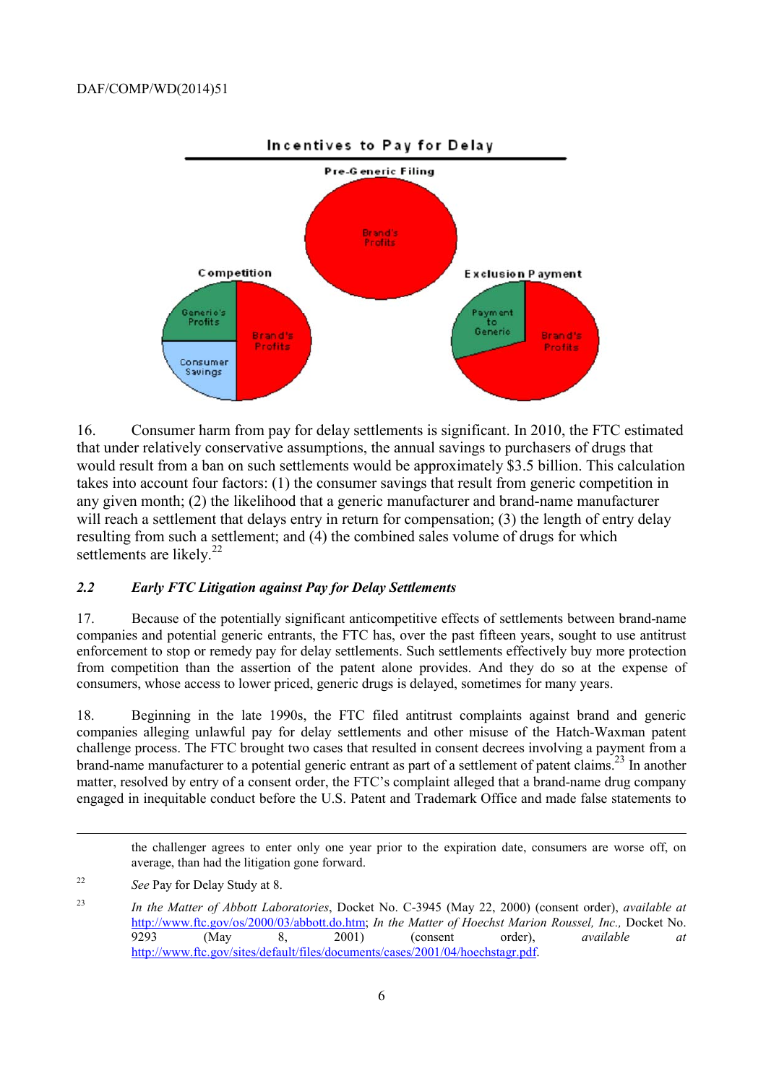

settlements are likely.<sup>22</sup> 16. Consumer harm from pay for delay settlements is significant. In 2010, the FTC estimated that under relatively conservative assumptions, the annual savings to purchasers of drugs that would result from a ban on such settlements would be approximately \$3.5 billion. This calculation takes into account four factors: (1) the consumer savings that result from generic competition in any given month; (2) the likelihood that a generic manufacturer and brand-name manufacturer will reach a settlement that delays entry in return for compensation; (3) the length of entry delay resulting from such a settlement; and (4) the combined sales volume of drugs for which

#### *2.2 Early FTC Litigation against Pay for Delay Settlements*

17. Because of the potentially significant anticompetitive effects of settlements between brand-name companies and potential generic entrants, the FTC has, over the past fifteen years, sought to use antitrust enforcement to stop or remedy pay for delay settlements. Such settlements effectively buy more protection from competition than the assertion of the patent alone provides. And they do so at the expense of consumers, whose access to lower priced, generic drugs is delayed, sometimes for many years.

brand-name manufacturer to a potential generic entrant as part of a settlement of patent claims.<sup>23</sup> In another 18. Beginning in the late 1990s, the FTC filed antitrust complaints against brand and generic companies alleging unlawful pay for delay settlements and other misuse of the Hatch-Waxman patent challenge process. The FTC brought two cases that resulted in consent decrees involving a payment from a matter, resolved by entry of a consent order, the FTC's complaint alleged that a brand-name drug company engaged in inequitable conduct before the U.S. Patent and Trademark Office and made false statements to

 average, than had the litigation gone forward. the challenger agrees to enter only one year prior to the expiration date, consumers are worse off, on

l

<sup>22</sup> *See* Pay for Delay Study at 8.

<sup>23</sup> *In the Matter of Abbott Laboratories*, Docket No. C-3945 (May 22, 2000) (consent order), *available at*  http://www.ftc.gov/os/2000/03/abbott.do.htm; *In the Matter of Hoechst Marion Roussel, Inc.,* Docket No. 9293 (May 8, 2001) (consent order), *available at*  http://www.ftc.gov/sites/default/files/documents/cases/2001/04/hoechstagr.pdf.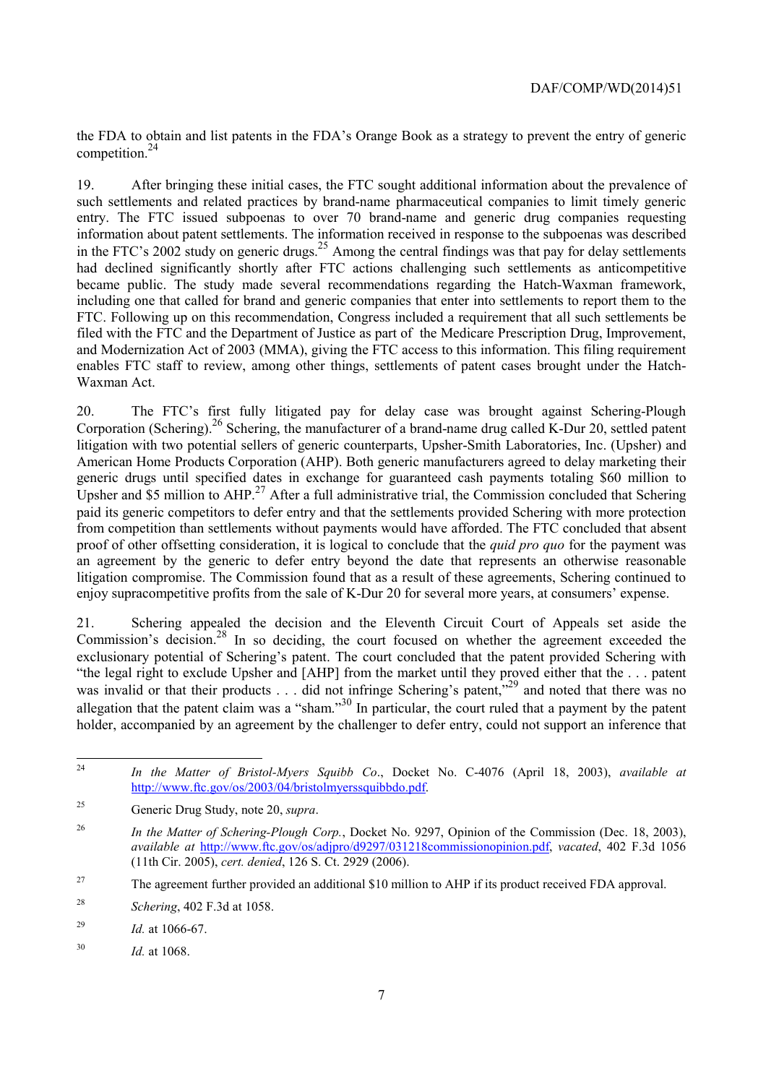the FDA to obtain and list patents in the FDA's Orange Book as a strategy to prevent the entry of generic competition.24

19. After bringing these initial cases, the FTC sought additional information about the prevalence of such settlements and related practices by brand-name pharmaceutical companies to limit timely generic entry. The FTC issued subpoenas to over 70 brand-name and generic drug companies requesting information about patent settlements. The information received in response to the subpoenas was described in the FTC's 2002 study on generic drugs.<sup>25</sup> Among the central findings was that pay for delay settlements had declined significantly shortly after FTC actions challenging such settlements as anticompetitive became public. The study made several recommendations regarding the Hatch-Waxman framework, including one that called for brand and generic companies that enter into settlements to report them to the FTC. Following up on this recommendation, Congress included a requirement that all such settlements be filed with the FTC and the Department of Justice as part of the Medicare Prescription Drug, Improvement, and Modernization Act of 2003 (MMA), giving the FTC access to this information. This filing requirement enables FTC staff to review, among other things, settlements of patent cases brought under the Hatch-Waxman Act.

20. The FTC's first fully litigated pay for delay case was brought against Schering-Plough Corporation (Schering).<sup>26</sup> Schering, the manufacturer of a brand-name drug called K-Dur 20, settled patent litigation with two potential sellers of generic counterparts, Upsher-Smith Laboratories, Inc. (Upsher) and American Home Products Corporation (AHP). Both generic manufacturers agreed to delay marketing their generic drugs until specified dates in exchange for guaranteed cash payments totaling \$60 million to Upsher and  $\overline{\$5}$  million to AHP.<sup>27</sup> After a full administrative trial, the Commission concluded that Schering paid its generic competitors to defer entry and that the settlements provided Schering with more protection from competition than settlements without payments would have afforded. The FTC concluded that absent proof of other offsetting consideration, it is logical to conclude that the *quid pro quo* for the payment was an agreement by the generic to defer entry beyond the date that represents an otherwise reasonable litigation compromise. The Commission found that as a result of these agreements, Schering continued to enjoy supracompetitive profits from the sale of K-Dur 20 for several more years, at consumers' expense.

Commission's decision.<sup>28</sup> In so deciding, the court focused on whether the agreement exceeded the was invalid or that their products . . . did not infringe Schering's patent,<sup>229</sup> and noted that there was no 21. Schering appealed the decision and the Eleventh Circuit Court of Appeals set aside the exclusionary potential of Schering's patent. The court concluded that the patent provided Schering with "the legal right to exclude Upsher and [AHP] from the market until they proved either that the . . . patent allegation that the patent claim was a "sham."<sup>30</sup> In particular, the court ruled that a payment by the patent holder, accompanied by an agreement by the challenger to defer entry, could not support an inference that

 $\overline{a}$ 

<sup>24</sup> *In the Matter of Bristol-Myers Squibb Co*., Docket No. C-4076 (April 18, 2003), *available at*  http://www.ftc.gov/os/2003/04/bristolmyerssquibbdo.pdf.

<sup>25</sup> Generic Drug Study, note 20, *supra*.

<sup>&</sup>lt;sup>26</sup> *In the Matter of Schering-Plough Corp.*, Docket No. 9297, Opinion of the Commission (Dec. 18, 2003), *available at* http://www.ftc.gov/os/adjpro/d9297/031218commissionopinion.pdf, *vacated*, 402 F.3d 1056 (11th Cir. 2005), *cert. denied*, 126 S. Ct. 2929 (2006).

<sup>&</sup>lt;sup>27</sup> The agreement further provided an additional \$10 million to AHP if its product received FDA approval.

<sup>28</sup> Schering, 402 F.3d at 1058.

<sup>&</sup>lt;sup>29</sup> *Id.* at 1066-67.

<sup>30</sup> *Id.* at 1068.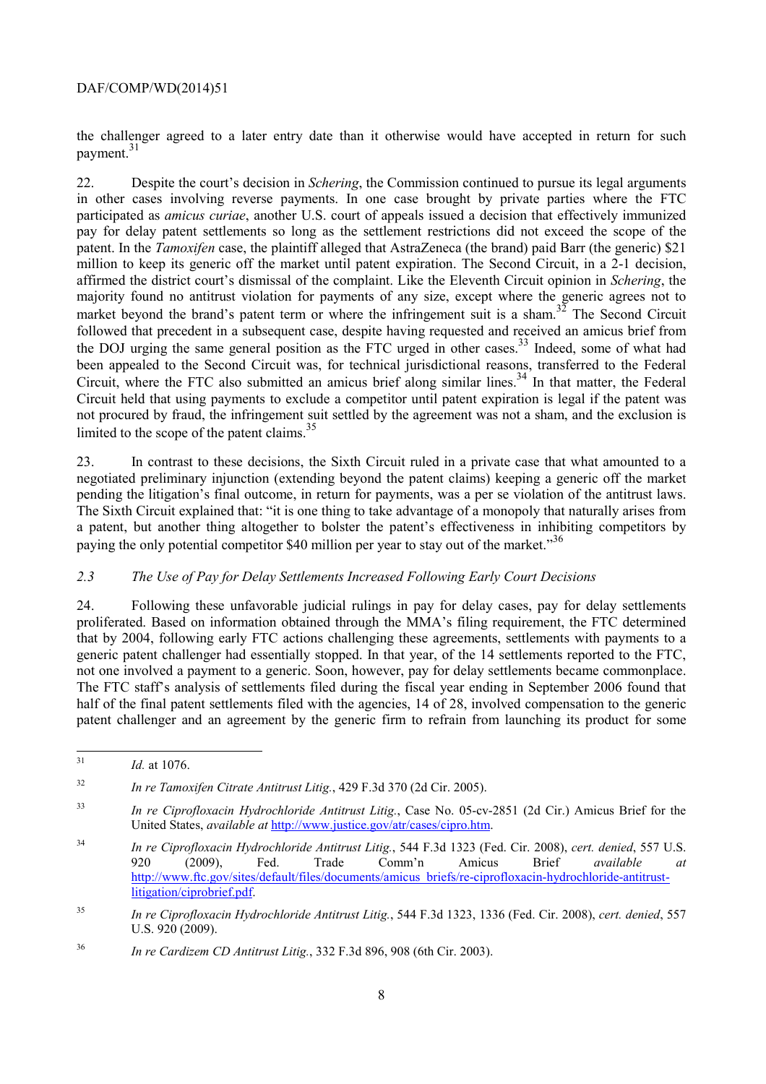payment.<sup>31</sup> the challenger agreed to a later entry date than it otherwise would have accepted in return for such

 pay for delay patent settlements so long as the settlement restrictions did not exceed the scope of the limited to the scope of the patent claims.<sup>35</sup> 22. Despite the court's decision in *Schering*, the Commission continued to pursue its legal arguments in other cases involving reverse payments. In one case brought by private parties where the FTC participated as *amicus curiae*, another U.S. court of appeals issued a decision that effectively immunized patent. In the *Tamoxifen* case, the plaintiff alleged that AstraZeneca (the brand) paid Barr (the generic) \$21 million to keep its generic off the market until patent expiration. The Second Circuit, in a 2-1 decision, affirmed the district court's dismissal of the complaint. Like the Eleventh Circuit opinion in *Schering*, the majority found no antitrust violation for payments of any size, except where the generic agrees not to market beyond the brand's patent term or where the infringement suit is a sham.<sup>32</sup> The Second Circuit followed that precedent in a subsequent case, despite having requested and received an amicus brief from the DOJ urging the same general position as the FTC urged in other cases.<sup>33</sup> Indeed, some of what had been appealed to the Second Circuit was, for technical jurisdictional reasons, transferred to the Federal Circuit, where the FTC also submitted an amicus brief along similar lines.<sup>34</sup> In that matter, the Federal Circuit held that using payments to exclude a competitor until patent expiration is legal if the patent was not procured by fraud, the infringement suit settled by the agreement was not a sham, and the exclusion is

paying the only potential competitor \$40 million per year to stay out of the market."<sup>36</sup> 23. In contrast to these decisions, the Sixth Circuit ruled in a private case that what amounted to a negotiated preliminary injunction (extending beyond the patent claims) keeping a generic off the market pending the litigation's final outcome, in return for payments, was a per se violation of the antitrust laws. The Sixth Circuit explained that: "it is one thing to take advantage of a monopoly that naturally arises from a patent, but another thing altogether to bolster the patent's effectiveness in inhibiting competitors by

#### *2.3 The Use of Pay for Delay Settlements Increased Following Early Court Decisions*

24. Following these unfavorable judicial rulings in pay for delay cases, pay for delay settlements proliferated. Based on information obtained through the MMA's filing requirement, the FTC determined that by 2004, following early FTC actions challenging these agreements, settlements with payments to a generic patent challenger had essentially stopped. In that year, of the 14 settlements reported to the FTC, not one involved a payment to a generic. Soon, however, pay for delay settlements became commonplace. The FTC staff's analysis of settlements filed during the fiscal year ending in September 2006 found that half of the final patent settlements filed with the agencies, 14 of 28, involved compensation to the generic patent challenger and an agreement by the generic firm to refrain from launching its product for some

 $32$ In re Tamoxifen Citrate Antitrust Litig., 429 F.3d 370 (2d Cir. 2005).

 *Id.* at 1076.

 $33$ <sup>33</sup> *In re Ciprofloxacin Hydrochloride Antitrust Litig.*, Case No. 05-cv-2851 (2d Cir.) Amicus Brief for the United States, *available at* http://www.justice.gov/atr/cases/cipro.htm.

 $34$ <sup>34</sup> *In re Ciprofloxacin Hydrochloride Antitrust Litig.*, 544 F.3d 1323 (Fed. Cir. 2008), *cert. denied*, 557 U.S. 920 (2009), Fed. Trade Comm'n Amicus Brief *available at*  http://www.ftc.gov/sites/default/files/documents/amicus\_briefs/re-ciprofloxacin-hydrochloride-antitrustlitigation/ciprobrief.pdf.

<sup>35</sup> <sup>35</sup> *In re Ciprofloxacin Hydrochloride Antitrust Litig.*, 544 F.3d 1323, 1336 (Fed. Cir. 2008), *cert. denied*, 557 U.S. 920 (2009).

<sup>36</sup> *In re Cardizem CD Antitrust Litig.*, 332 F.3d 896, 908 (6th Cir. 2003).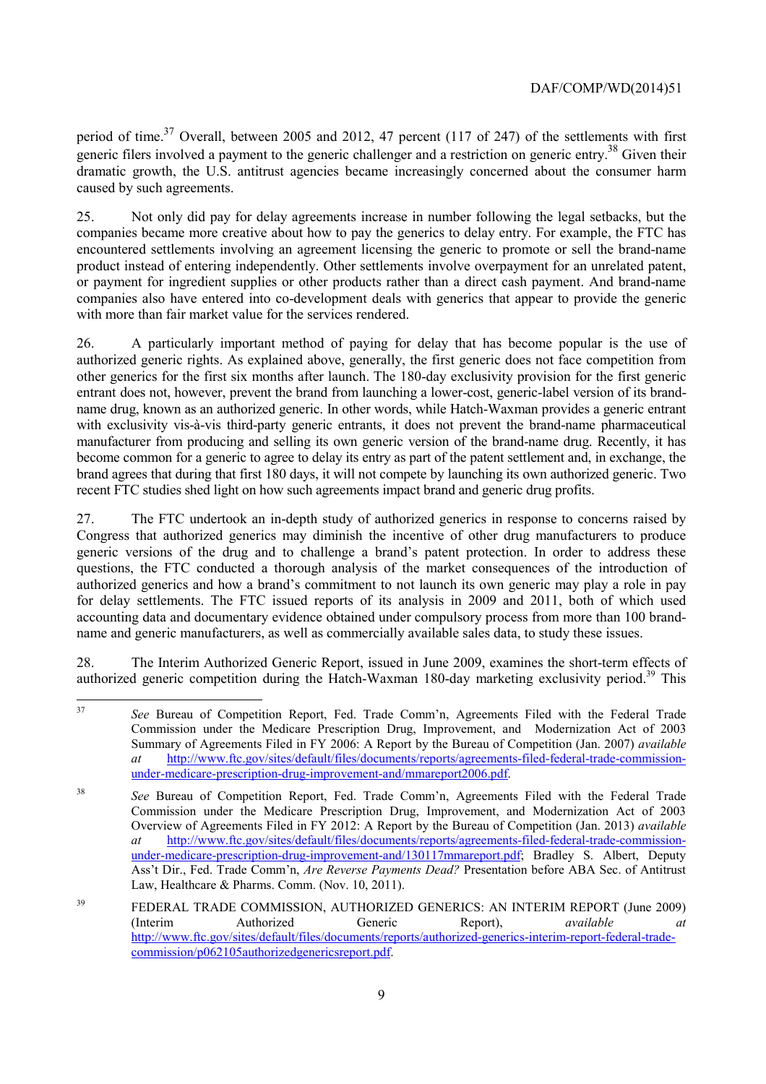caused by such agreements. period of time.<sup>37</sup> Overall, between 2005 and 2012, 47 percent (117 of 247) of the settlements with first generic filers involved a payment to the generic challenger and a restriction on generic entry.<sup>38</sup> Given their dramatic growth, the U.S. antitrust agencies became increasingly concerned about the consumer harm

25. Not only did pay for delay agreements increase in number following the legal setbacks, but the companies became more creative about how to pay the generics to delay entry. For example, the FTC has encountered settlements involving an agreement licensing the generic to promote or sell the brand-name product instead of entering independently. Other settlements involve overpayment for an unrelated patent, or payment for ingredient supplies or other products rather than a direct cash payment. And brand-name companies also have entered into co-development deals with generics that appear to provide the generic with more than fair market value for the services rendered.

26. A particularly important method of paying for delay that has become popular is the use of authorized generic rights. As explained above, generally, the first generic does not face competition from other generics for the first six months after launch. The 180-day exclusivity provision for the first generic entrant does not, however, prevent the brand from launching a lower-cost, generic-label version of its brandname drug, known as an authorized generic. In other words, while Hatch-Waxman provides a generic entrant with exclusivity vis-à-vis third-party generic entrants, it does not prevent the brand-name pharmaceutical manufacturer from producing and selling its own generic version of the brand-name drug. Recently, it has become common for a generic to agree to delay its entry as part of the patent settlement and, in exchange, the brand agrees that during that first 180 days, it will not compete by launching its own authorized generic. Two recent FTC studies shed light on how such agreements impact brand and generic drug profits.

27. The FTC undertook an in-depth study of authorized generics in response to concerns raised by Congress that authorized generics may diminish the incentive of other drug manufacturers to produce generic versions of the drug and to challenge a brand's patent protection. In order to address these questions, the FTC conducted a thorough analysis of the market consequences of the introduction of authorized generics and how a brand's commitment to not launch its own generic may play a role in pay for delay settlements. The FTC issued reports of its analysis in 2009 and 2011, both of which used accounting data and documentary evidence obtained under compulsory process from more than 100 brandname and generic manufacturers, as well as commercially available sales data, to study these issues.

28. The Interim Authorized Generic Report, issued in June 2009, examines the short-term effects of authorized generic competition during the Hatch-Waxman 180-day marketing exclusivity period.<sup>39</sup> This

 $\overline{a}$ See Bureau of Competition Report, Fed. Trade Comm'n, Agreements Filed with the Federal Trade Commission under the Medicare Prescription Drug, Improvement, and Modernization Act of 2003 Summary of Agreements Filed in FY 2006: A Report by the Bureau of Competition (Jan. 2007) *available at* http://www.ftc.gov/sites/default/files/documents/reports/agreements-filed-federal-trade-commissionunder-medicare-prescription-drug-improvement-and/mmareport2006.pdf.

 Ass't Dir., Fed. Trade Comm'n, *Are Reverse Payments Dead?* Presentation before ABA Sec. of Antitrust <sup>38</sup> *See* Bureau of Competition Report, Fed. Trade Comm'n, Agreements Filed with the Federal Trade Commission under the Medicare Prescription Drug, Improvement, and Modernization Act of 2003 Overview of Agreements Filed in FY 2012: A Report by the Bureau of Competition (Jan. 2013) *available at* http://www.ftc.gov/sites/default/files/documents/reports/agreements-filed-federal-trade-commissionunder-medicare-prescription-drug-improvement-and/130117mmareport.pdf; Bradley S. Albert, Deputy Law, Healthcare & Pharms. Comm. (Nov. 10, 2011).

<sup>&</sup>lt;sup>39</sup> FEDERAL TRADE COMMISSION, AUTHORIZED GENERICS: AN INTERIM REPORT (June 2009) (Interim Authorized Generic Report), *available at*  http://www.ftc.gov/sites/default/files/documents/reports/authorized-generics-interim-report-federal-tradecommission/p062105authorizedgenericsreport.pdf.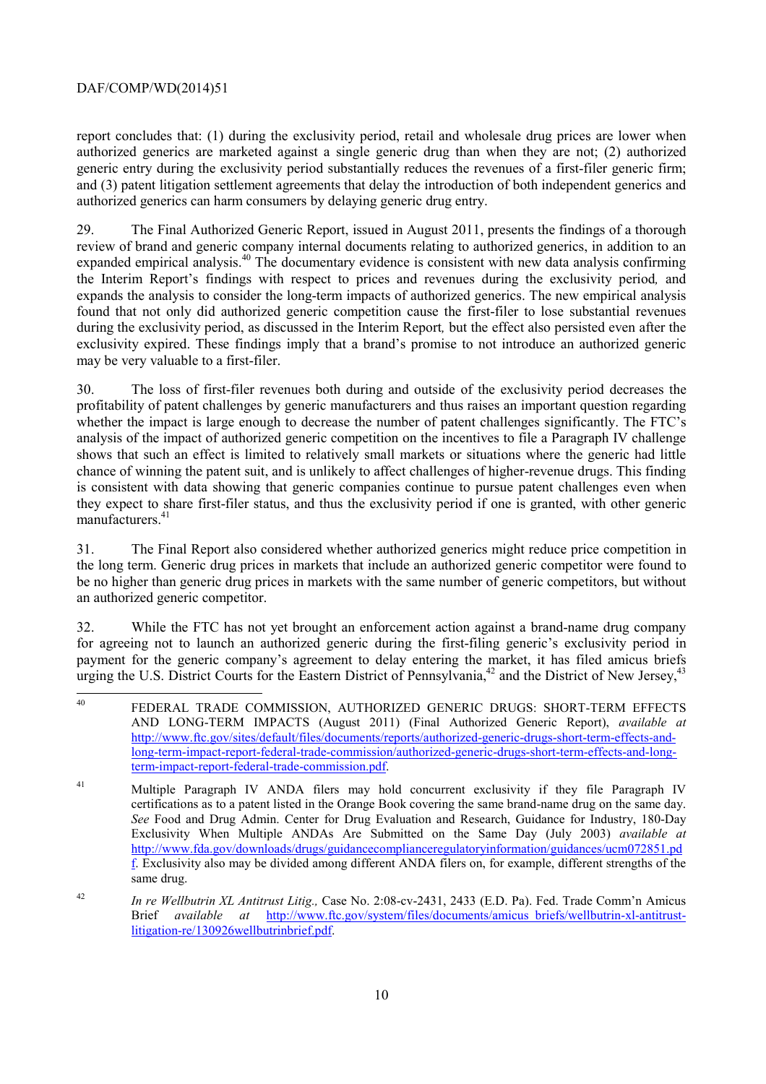authorized generics can harm consumers by delaying generic drug entry. report concludes that: (1) during the exclusivity period, retail and wholesale drug prices are lower when authorized generics are marketed against a single generic drug than when they are not; (2) authorized generic entry during the exclusivity period substantially reduces the revenues of a first-filer generic firm; and (3) patent litigation settlement agreements that delay the introduction of both independent generics and

29. The Final Authorized Generic Report, issued in August 2011, presents the findings of a thorough review of brand and generic company internal documents relating to authorized generics, in addition to an expanded empirical analysis.40 The documentary evidence is consistent with new data analysis confirming the Interim Report's findings with respect to prices and revenues during the exclusivity period*,* and expands the analysis to consider the long-term impacts of authorized generics. The new empirical analysis found that not only did authorized generic competition cause the first-filer to lose substantial revenues during the exclusivity period, as discussed in the Interim Report*,* but the effect also persisted even after the exclusivity expired. These findings imply that a brand's promise to not introduce an authorized generic may be very valuable to a first-filer.

manufacturers.<sup>41</sup> 30. The loss of first-filer revenues both during and outside of the exclusivity period decreases the profitability of patent challenges by generic manufacturers and thus raises an important question regarding whether the impact is large enough to decrease the number of patent challenges significantly. The FTC's analysis of the impact of authorized generic competition on the incentives to file a Paragraph IV challenge shows that such an effect is limited to relatively small markets or situations where the generic had little chance of winning the patent suit, and is unlikely to affect challenges of higher-revenue drugs. This finding is consistent with data showing that generic companies continue to pursue patent challenges even when they expect to share first-filer status, and thus the exclusivity period if one is granted, with other generic

31. The Final Report also considered whether authorized generics might reduce price competition in the long term. Generic drug prices in markets that include an authorized generic competitor were found to be no higher than generic drug prices in markets with the same number of generic competitors, but without an authorized generic competitor.

32. While the FTC has not yet brought an enforcement action against a brand-name drug company for agreeing not to launch an authorized generic during the first-filing generic's exclusivity period in payment for the generic company's agreement to delay entering the market, it has filed amicus briefs urging the U.S. District Courts for the Eastern District of Pennsylvania,  $42$  and the District of New Jersey,  $43$ 

 $\overline{a}$ FEDERAL TRADE COMMISSION, AUTHORIZED GENERIC DRUGS: SHORT-TERM EFFECTS AND LONG-TERM IMPACTS (August 2011) (Final Authorized Generic Report), *available at*  http://www.ftc.gov/sites/default/files/documents/reports/authorized-generic-drugs-short-term-effects-andlong-term-impact-report-federal-trade-commission/authorized-generic-drugs-short-term-effects-and-longterm-impact-report-federal-trade-commission.pdf.

 f. Exclusivity also may be divided among different ANDA filers on, for example, different strengths of the <sup>41</sup> Multiple Paragraph IV ANDA filers may hold concurrent exclusivity if they file Paragraph IV certifications as to a patent listed in the Orange Book covering the same brand-name drug on the same day. *See* Food and Drug Admin. Center for Drug Evaluation and Research, Guidance for Industry, 180-Day Exclusivity When Multiple ANDAs Are Submitted on the Same Day (July 2003) *available at*  http://www.fda.gov/downloads/drugs/guidancecomplianceregulatoryinformation/guidances/ucm072851.pd same drug.

<sup>42</sup> *In re Wellbutrin XL Antitrust Litig.,* Case No. 2:08-cv-2431, 2433 (E.D. Pa). Fed. Trade Comm'n Amicus Brief *available at* http://www.ftc.gov/system/files/documents/amicus\_briefs/wellbutrin-xl-antitrustlitigation-re/130926wellbutrinbrief.pdf.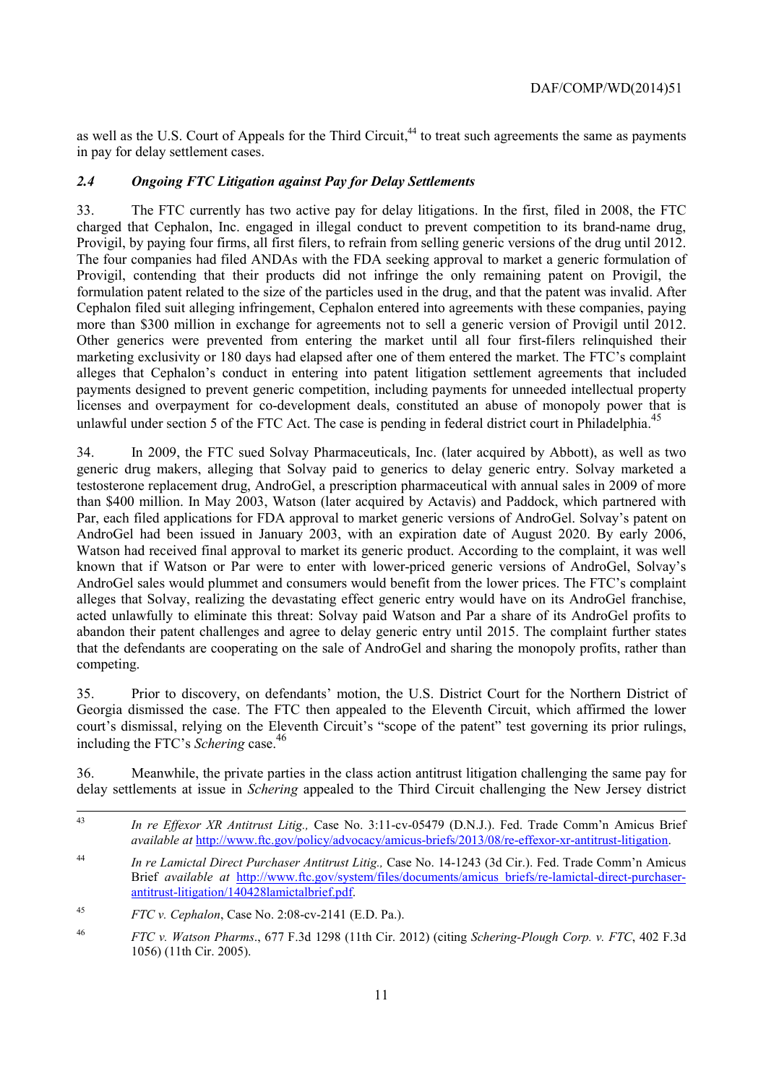as well as the U.S. Court of Appeals for the Third Circuit,<sup>44</sup> to treat such agreements the same as payments in pay for delay settlement cases.

#### *2.4 Ongoing FTC Litigation against Pay for Delay Settlements*

 Provigil, contending that their products did not infringe the only remaining patent on Provigil, the 33. The FTC currently has two active pay for delay litigations. In the first, filed in 2008, the FTC charged that Cephalon, Inc. engaged in illegal conduct to prevent competition to its brand-name drug, Provigil, by paying four firms, all first filers, to refrain from selling generic versions of the drug until 2012. The four companies had filed ANDAs with the FDA seeking approval to market a generic formulation of formulation patent related to the size of the particles used in the drug, and that the patent was invalid. After Cephalon filed suit alleging infringement, Cephalon entered into agreements with these companies, paying more than \$300 million in exchange for agreements not to sell a generic version of Provigil until 2012. Other generics were prevented from entering the market until all four first-filers relinquished their marketing exclusivity or 180 days had elapsed after one of them entered the market. The FTC's complaint alleges that Cephalon's conduct in entering into patent litigation settlement agreements that included payments designed to prevent generic competition, including payments for unneeded intellectual property licenses and overpayment for co-development deals, constituted an abuse of monopoly power that is unlawful under section 5 of the FTC Act. The case is pending in federal district court in Philadelphia.<sup>45</sup>

 generic drug makers, alleging that Solvay paid to generics to delay generic entry. Solvay marketed a competing. 34. In 2009, the FTC sued Solvay Pharmaceuticals, Inc. (later acquired by Abbott), as well as two testosterone replacement drug, AndroGel, a prescription pharmaceutical with annual sales in 2009 of more than \$400 million. In May 2003, Watson (later acquired by Actavis) and Paddock, which partnered with Par, each filed applications for FDA approval to market generic versions of AndroGel. Solvay's patent on AndroGel had been issued in January 2003, with an expiration date of August 2020. By early 2006, Watson had received final approval to market its generic product. According to the complaint, it was well known that if Watson or Par were to enter with lower-priced generic versions of AndroGel, Solvay's AndroGel sales would plummet and consumers would benefit from the lower prices. The FTC's complaint alleges that Solvay, realizing the devastating effect generic entry would have on its AndroGel franchise, acted unlawfully to eliminate this threat: Solvay paid Watson and Par a share of its AndroGel profits to abandon their patent challenges and agree to delay generic entry until 2015. The complaint further states that the defendants are cooperating on the sale of AndroGel and sharing the monopoly profits, rather than

 including the FTC's *Schering* case. 46 35. Prior to discovery, on defendants' motion, the U.S. District Court for the Northern District of Georgia dismissed the case. The FTC then appealed to the Eleventh Circuit, which affirmed the lower court's dismissal, relying on the Eleventh Circuit's "scope of the patent" test governing its prior rulings,

36. Meanwhile, the private parties in the class action antitrust litigation challenging the same pay for delay settlements at issue in *Schering* appealed to the Third Circuit challenging the New Jersey district

<sup>44</sup> *In re Lamictal Direct Purchaser Antitrust Litig.,* Case No. 14-1243 (3d Cir.). Fed. Trade Comm'n Amicus Brief *available at* http://www.ftc.gov/system/files/documents/amicus\_briefs/re-lamictal-direct-purchaserantitrust-litigation/140428lamictalbrief.pdf.

1

<sup>43</sup> *In re Effexor XR Antitrust Litig.,* Case No. 3:11-cv-05479 (D.N.J.). Fed. Trade Comm'n Amicus Brief *available at* http://www.ftc.gov/policy/advocacy/amicus-briefs/2013/08/re-effexor-xr-antitrust-litigation.

<sup>45</sup> <sup>45</sup> *FTC v. Cephalon*, Case No. 2:08-cv-2141 (E.D. Pa.).

<sup>46</sup> *FTC v. Watson Pharms*., 677 F.3d 1298 (11th Cir. 2012) (citing *Schering-Plough Corp. v. FTC*, 402 F.3d 1056) (11th Cir. 2005).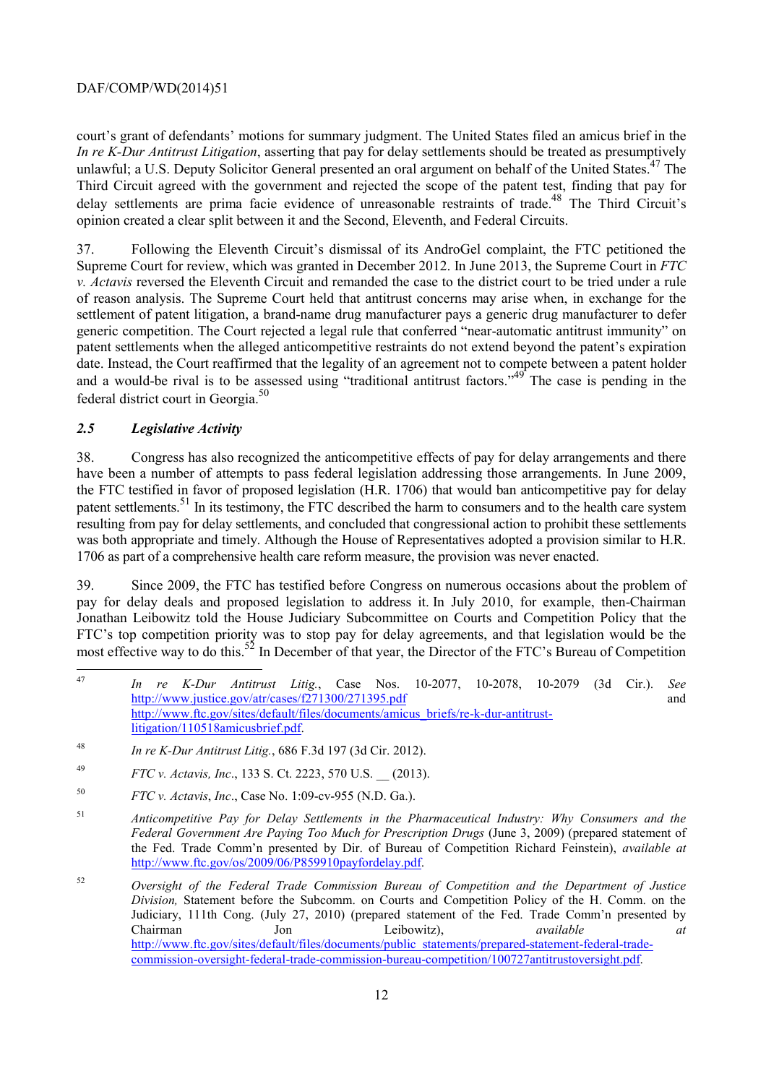court's grant of defendants' motions for summary judgment. The United States filed an amicus brief in the *In re K-Dur Antitrust Litigation*, asserting that pay for delay settlements should be treated as presumptively unlawful; a U.S. Deputy Solicitor General presented an oral argument on behalf of the United States.<sup>47</sup> The Third Circuit agreed with the government and rejected the scope of the patent test, finding that pay for delay settlements are prima facie evidence of unreasonable restraints of trade.<sup>48</sup> The Third Circuit's opinion created a clear split between it and the Second, Eleventh, and Federal Circuits.

 of reason analysis. The Supreme Court held that antitrust concerns may arise when, in exchange for the 37. Following the Eleventh Circuit's dismissal of its AndroGel complaint, the FTC petitioned the Supreme Court for review, which was granted in December 2012. In June 2013, the Supreme Court in *FTC v. Actavis* reversed the Eleventh Circuit and remanded the case to the district court to be tried under a rule settlement of patent litigation, a brand-name drug manufacturer pays a generic drug manufacturer to defer generic competition. The Court rejected a legal rule that conferred "near-automatic antitrust immunity" on patent settlements when the alleged anticompetitive restraints do not extend beyond the patent's expiration date. Instead, the Court reaffirmed that the legality of an agreement not to compete between a patent holder and a would-be rival is to be assessed using "traditional antitrust factors."<sup>49</sup> The case is pending in the federal district court in Georgia.50

#### *2.5 Legislative Activity*

 $\overline{a}$ 

 the FTC testified in favor of proposed legislation (H.R. 1706) that would ban anticompetitive pay for delay 1706 as part of a comprehensive health care reform measure, the provision was never enacted. 38. Congress has also recognized the anticompetitive effects of pay for delay arrangements and there have been a number of attempts to pass federal legislation addressing those arrangements. In June 2009, patent settlements.<sup>51</sup> In its testimony, the FTC described the harm to consumers and to the health care system resulting from pay for delay settlements, and concluded that congressional action to prohibit these settlements was both appropriate and timely. Although the House of Representatives adopted a provision similar to H.R.

1706 39. Since 2009, the FTC has testified before Congress on numerous occasions about the problem of pay for delay deals and proposed legislation to address it. In July 2010, for example, then-Chairman Jonathan Leibowitz told the House Judiciary Subcommittee on Courts and Competition Policy that the FTC's top competition priority was to stop pay for delay agreements, and that legislation would be the most effective way to do this.<sup>52</sup> In December of that year, the Director of the FTC's Bureau of Competition

<sup>47</sup> *In re K-Dur Antitrust Litig.*, Case Nos. 10-2077, 10-2078, 10-2079 (3d Cir.). *See*  http://www.justice.gov/atr/cases/f271300/271395.pdf and http://www.ftc.gov/sites/default/files/documents/amicus\_briefs/re-k-dur-antitrustlitigation/110518amicusbrief.pdf.

<sup>48</sup> *In re K-Dur Antitrust Litig.*, 686 F.3d 197 (3d Cir. 2012).

<sup>49</sup> <sup>49</sup> *FTC v. Actavis, Inc*., 133 S. Ct. 2223, 570 U.S. \_\_ (2013).

<sup>50</sup> *FTC v. Actavis*, *Inc*., Case No. 1:09-cv-955 (N.D. Ga.).

<sup>51</sup> *Anticompetitive Pay for Delay Settlements in the Pharmaceutical Industry: Why Consumers and the Federal Government Are Paying Too Much for Prescription Drugs* (June 3, 2009) (prepared statement of the Fed. Trade Comm'n presented by Dir. of Bureau of Competition Richard Feinstein), *available at*  http://www.ftc.gov/os/2009/06/P859910payfordelay.pdf.

<sup>52</sup>  *Division,* Statement before the Subcomm. on Courts and Competition Policy of the H. Comm. on the Jon <sup>52</sup> *Oversight of the Federal Trade Commission Bureau of Competition and the Department of Justice*  Judiciary, 111th Cong. (July 27, 2010) (prepared statement of the Fed. Trade Comm'n presented by Chairman Jon Leibowitz), *available at*  http://www.ftc.gov/sites/default/files/documents/public\_statements/prepared-statement-federal-tradecommission-oversight-federal-trade-commission-bureau-competition/100727antitrustoversight.pdf.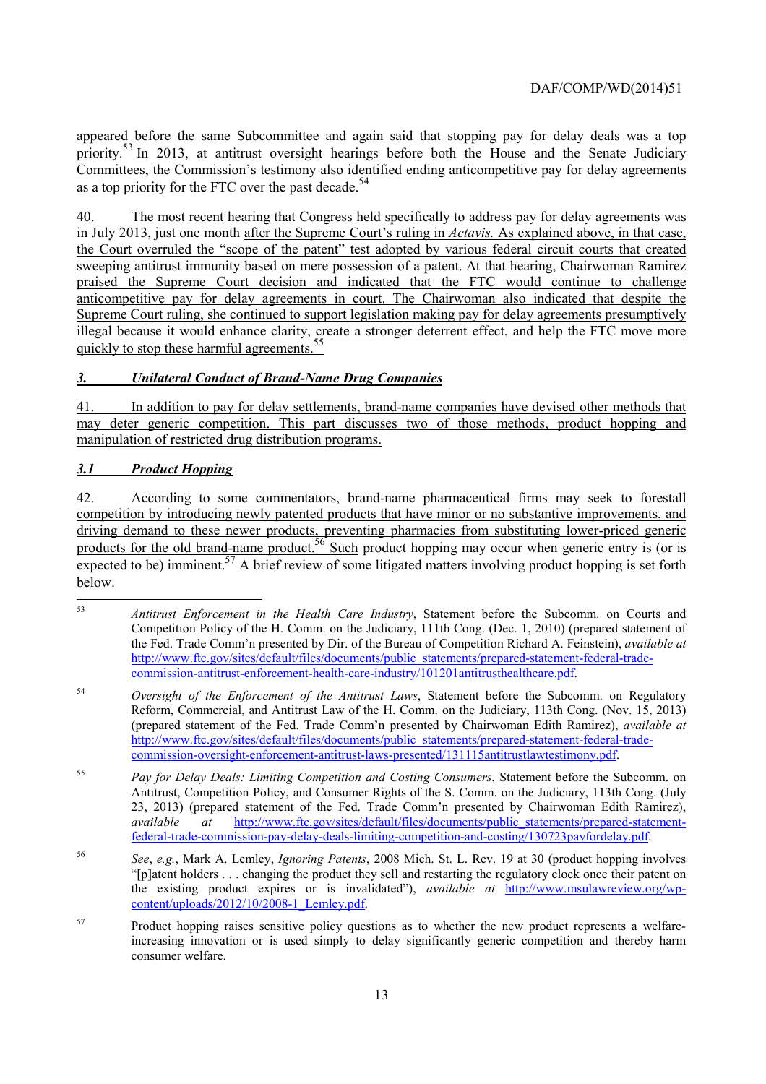priority.<sup>53</sup> In 2013, at antitrust oversight hearings before both the House and the Senate Judiciary as a top priority for the FTC over the past decade.<sup>54</sup> appeared before the same Subcommittee and again said that stopping pay for delay deals was a top Committees, the Commission's testimony also identified ending anticompetitive pay for delay agreements

40. The most recent hearing that Congress held specifically to address pay for delay agreements was in July 2013, just one month after the Supreme Court's ruling in *Actavis.* As explained above, in that case, the Court overruled the "scope of the patent" test adopted by various federal circuit courts that created sweeping antitrust immunity based on mere possession of a patent. At that hearing, Chairwoman Ramirez praised the Supreme Court decision and indicated that the FTC would continue to challenge anticompetitive pay for delay agreements in court. The Chairwoman also indicated that despite the Supreme Court ruling, she continued to support legislation making pay for delay agreements presumptively illegal because it would enhance clarity, create a stronger deterrent effect, and help the FTC move more quickly to stop these harmful agreements.<sup>55</sup>

### *3. Unilateral Conduct of Brand-Name Drug Companies*

41. In addition to pay for delay settlements, brand-name companies have devised other methods that may deter generic competition. This part discusses two of those methods, product hopping and manipulation of restricted drug distribution programs.

#### *3.1 Product Hopping*

products for the old brand-name product.<sup>56</sup> Such product hopping may occur when generic entry is (or is 42. According to some commentators, brand-name pharmaceutical firms may seek to forestall competition by introducing newly patented products that have minor or no substantive improvements, and driving demand to these newer products, preventing pharmacies from substituting lower-priced generic expected to be) imminent.<sup>57</sup> A brief review of some litigated matters involving product hopping is set forth below.

 $53$ <sup>53</sup> *Antitrust Enforcement in the Health Care Industry*, Statement before the Subcomm. on Courts and Competition Policy of the H. Comm. on the Judiciary, 111th Cong. (Dec. 1, 2010) (prepared statement of the Fed. Trade Comm'n presented by Dir. of the Bureau of Competition Richard A. Feinstein), *available at*  http://www.ftc.gov/sites/default/files/documents/public\_statements/prepared-statement-federal-tradecommission-antitrust-enforcement-health-care-industry/101201antitrusthealthcare.pdf.

<sup>54</sup> *Oversight of the Enforcement of the Antitrust Laws*, Statement before the Subcomm. on Regulatory Reform, Commercial, and Antitrust Law of the H. Comm. on the Judiciary, 113th Cong. (Nov. 15, 2013) (prepared statement of the Fed. Trade Comm'n presented by Chairwoman Edith Ramirez), *available at*  http://www.ftc.gov/sites/default/files/documents/public\_statements/prepared-statement-federal-tradecommission-oversight-enforcement-antitrust-laws-presented/131115antitrustlawtestimony.pdf.

<sup>55</sup> Pay for Delay Deals: Limiting Competition and Costing Consumers, Statement before the Subcomm. on Antitrust, Competition Policy, and Consumer Rights of the S. Comm. on the Judiciary, 113th Cong. (July 23, 2013) (prepared statement of the Fed. Trade Comm'n presented by Chairwoman Edith Ramirez), *available at* http://www.ftc.gov/sites/default/files/documents/public\_statements/prepared-statementfederal-trade-commission-pay-delay-deals-limiting-competition-and-costing/130723payfordelay.pdf.

<sup>56</sup> *See*, *e.g.*, Mark A. Lemley, *Ignoring Patents*, 2008 Mich. St. L. Rev. 19 at 30 (product hopping involves "[p]atent holders . . . changing the product they sell and restarting the regulatory clock once their patent on the existing product expires or is invalidated"), *available at* http://www.msulawreview.org/wpcontent/uploads/2012/10/2008-1\_Lemley.pdf.

<sup>57</sup> Product hopping raises sensitive policy questions as to whether the new product represents a welfareincreasing innovation or is used simply to delay significantly generic competition and thereby harm consumer welfare.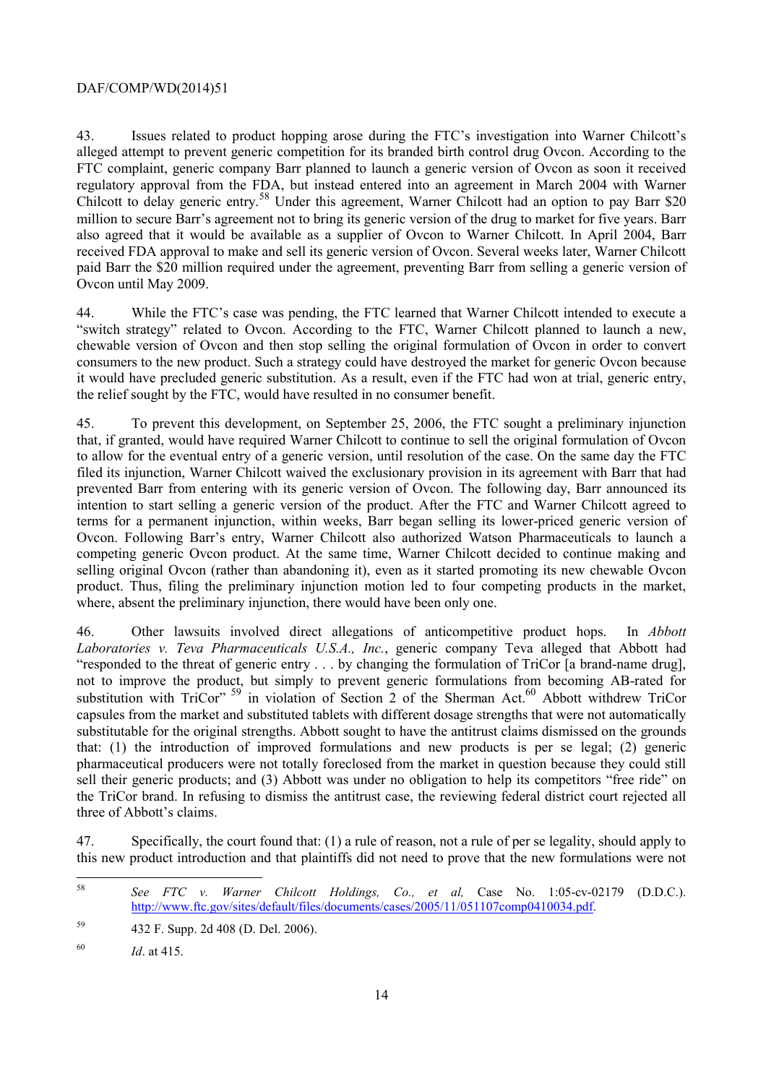Ovcon until May 2009. 43. Issues related to product hopping arose during the FTC's investigation into Warner Chilcott's alleged attempt to prevent generic competition for its branded birth control drug Ovcon. According to the FTC complaint, generic company Barr planned to launch a generic version of Ovcon as soon it received regulatory approval from the FDA, but instead entered into an agreement in March 2004 with Warner Chilcott to delay generic entry.<sup>58</sup> Under this agreement, Warner Chilcott had an option to pay Barr \$20 million to secure Barr's agreement not to bring its generic version of the drug to market for five years. Barr also agreed that it would be available as a supplier of Ovcon to Warner Chilcott. In April 2004, Barr received FDA approval to make and sell its generic version of Ovcon. Several weeks later, Warner Chilcott paid Barr the \$20 million required under the agreement, preventing Barr from selling a generic version of

the relief sought by the FTC, would have resulted in no consumer benefit. 44. While the FTC's case was pending, the FTC learned that Warner Chilcott intended to execute a "switch strategy" related to Ovcon. According to the FTC, Warner Chilcott planned to launch a new, chewable version of Ovcon and then stop selling the original formulation of Ovcon in order to convert consumers to the new product. Such a strategy could have destroyed the market for generic Ovcon because it would have precluded generic substitution. As a result, even if the FTC had won at trial, generic entry,

 filed its injunction, Warner Chilcott waived the exclusionary provision in its agreement with Barr that had 45. To prevent this development, on September 25, 2006, the FTC sought a preliminary injunction that, if granted, would have required Warner Chilcott to continue to sell the original formulation of Ovcon to allow for the eventual entry of a generic version, until resolution of the case. On the same day the FTC prevented Barr from entering with its generic version of Ovcon. The following day, Barr announced its intention to start selling a generic version of the product. After the FTC and Warner Chilcott agreed to terms for a permanent injunction, within weeks, Barr began selling its lower-priced generic version of Ovcon. Following Barr's entry, Warner Chilcott also authorized Watson Pharmaceuticals to launch a competing generic Ovcon product. At the same time, Warner Chilcott decided to continue making and selling original Ovcon (rather than abandoning it), even as it started promoting its new chewable Ovcon product. Thus, filing the preliminary injunction motion led to four competing products in the market, where, absent the preliminary injunction, there would have been only one.

substitution with TriCor"  $59$  in violation of Section 2 of the Sherman Act.<sup>60</sup> Abbott withdrew TriCor 46. Other lawsuits involved direct allegations of anticompetitive product hops. In *Abbott Laboratories v. Teva Pharmaceuticals U.S.A., Inc.*, generic company Teva alleged that Abbott had "responded to the threat of generic entry . . . by changing the formulation of TriCor [a brand-name drug], not to improve the product, but simply to prevent generic formulations from becoming AB-rated for capsules from the market and substituted tablets with different dosage strengths that were not automatically substitutable for the original strengths. Abbott sought to have the antitrust claims dismissed on the grounds that: (1) the introduction of improved formulations and new products is per se legal; (2) generic pharmaceutical producers were not totally foreclosed from the market in question because they could still sell their generic products; and (3) Abbott was under no obligation to help its competitors "free ride" on the TriCor brand. In refusing to dismiss the antitrust case, the reviewing federal district court rejected all three of Abbott's claims.

47. Specifically, the court found that: (1) a rule of reason, not a rule of per se legality, should apply to this new product introduction and that plaintiffs did not need to prove that the new formulations were not

 $58$ See FTC v. Warner Chilcott Holdings, Co., et al, Case No. 1:05-cv-02179 (D.D.C.). http://www.ftc.gov/sites/default/files/documents/cases/2005/11/051107comp0410034.pdf.

<sup>59</sup> <sup>59</sup> 432 F. Supp. 2d 408 (D. Del. 2006).

<sup>60</sup> *Id*. at 415.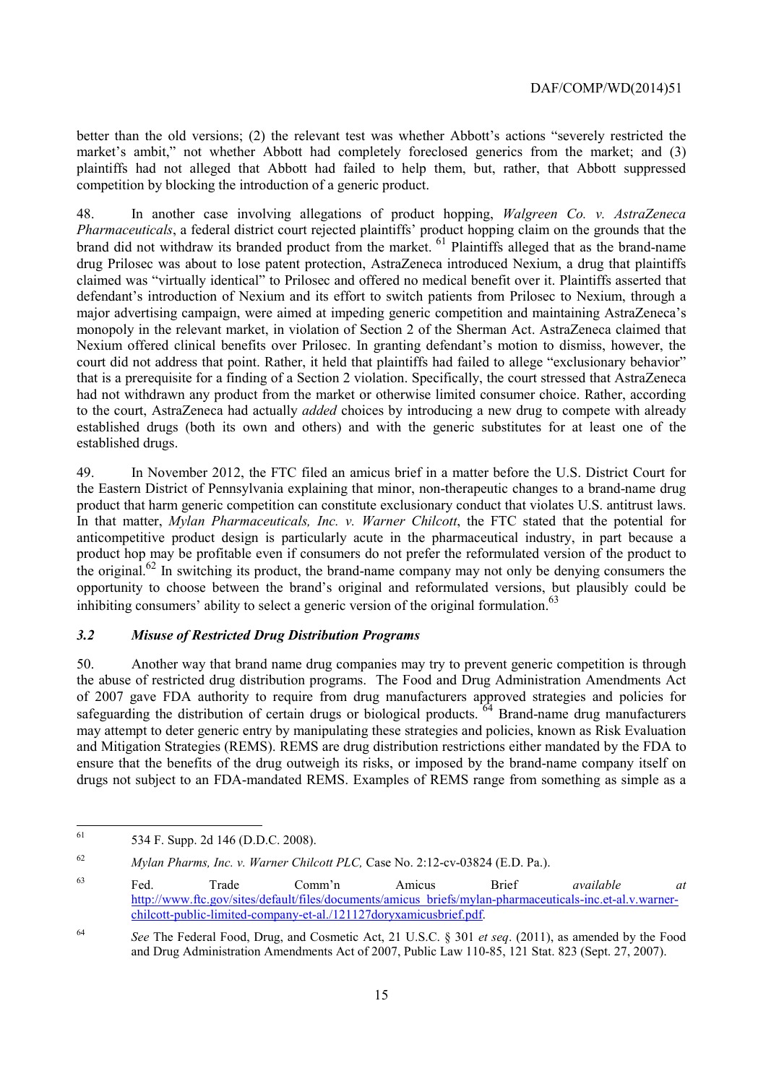competition by blocking the introduction of a generic product. better than the old versions; (2) the relevant test was whether Abbott's actions "severely restricted the market's ambit," not whether Abbott had completely foreclosed generics from the market; and (3) plaintiffs had not alleged that Abbott had failed to help them, but, rather, that Abbott suppressed

competition by blocking the introduction of a generic product. 48. In another case involving allegations of product hopping, *Walgreen Co. v. AstraZeneca Pharmaceuticals*, a federal district court rejected plaintiffs' product hopping claim on the grounds that the brand did not withdraw its branded product from the market. <sup>61</sup> Plaintiffs alleged that as the brand-name drug Prilosec was about to lose patent protection, AstraZeneca introduced Nexium, a drug that plaintiffs claimed was "virtually identical" to Prilosec and offered no medical benefit over it. Plaintiffs asserted that defendant's introduction of Nexium and its effort to switch patients from Prilosec to Nexium, through a major advertising campaign, were aimed at impeding generic competition and maintaining AstraZeneca's monopoly in the relevant market, in violation of Section 2 of the Sherman Act. AstraZeneca claimed that Nexium offered clinical benefits over Prilosec. In granting defendant's motion to dismiss, however, the court did not address that point. Rather, it held that plaintiffs had failed to allege "exclusionary behavior" that is a prerequisite for a finding of a Section 2 violation. Specifically, the court stressed that AstraZeneca had not withdrawn any product from the market or otherwise limited consumer choice. Rather, according to the court, AstraZeneca had actually *added* choices by introducing a new drug to compete with already established drugs (both its own and others) and with the generic substitutes for at least one of the established drugs.

 In that matter, *Mylan Pharmaceuticals, Inc. v. Warner Chilcott*, the FTC stated that the potential for the original.<sup>62</sup> In switching its product, the brand-name company may not only be denying consumers the 49. In November 2012, the FTC filed an amicus brief in a matter before the U.S. District Court for the Eastern District of Pennsylvania explaining that minor, non-therapeutic changes to a brand-name drug product that harm generic competition can constitute exclusionary conduct that violates U.S. antitrust laws. anticompetitive product design is particularly acute in the pharmaceutical industry, in part because a product hop may be profitable even if consumers do not prefer the reformulated version of the product to opportunity to choose between the brand's original and reformulated versions, but plausibly could be inhibiting consumers' ability to select a generic version of the original formulation.<sup>63</sup>

#### *3.2 Misuse of Restricted Drug Distribution Programs*

 drugs not subject to an FDA-mandated REMS. Examples of REMS range from something as simple as a 50. Another way that brand name drug companies may try to prevent generic competition is through the abuse of restricted drug distribution programs. The Food and Drug Administration Amendments Act of 2007 gave FDA authority to require from drug manufacturers approved strategies and policies for safeguarding the distribution of certain drugs or biological products. <sup>64</sup> Brand-name drug manufacturers may attempt to deter generic entry by manipulating these strategies and policies, known as Risk Evaluation and Mitigation Strategies (REMS). REMS are drug distribution restrictions either mandated by the FDA to ensure that the benefits of the drug outweigh its risks, or imposed by the brand-name company itself on

<sup>61</sup> 534 F. Supp. 2d 146 (D.D.C. 2008).

<sup>62</sup> *Mylan Pharms, Inc. v. Warner Chilcott PLC, Case No. 2:12-cv-03824 (E.D. Pa.).* 

<sup>63</sup> <sup>63</sup> Fed. Trade Comm'n Amicus Brief *available at*  http://www.ftc.gov/sites/default/files/documents/amicus\_briefs/mylan-pharmaceuticals-inc.et-al.v.warnerchilcott-public-limited-company-et-al./121127doryxamicusbrief.pdf.

<sup>64</sup> *See* The Federal Food, Drug, and Cosmetic Act, 21 U.S.C. § 301 *et seq*. (2011), as amended by the Food and Drug Administration Amendments Act of 2007, Public Law 110-85, 121 Stat. 823 (Sept. 27, 2007).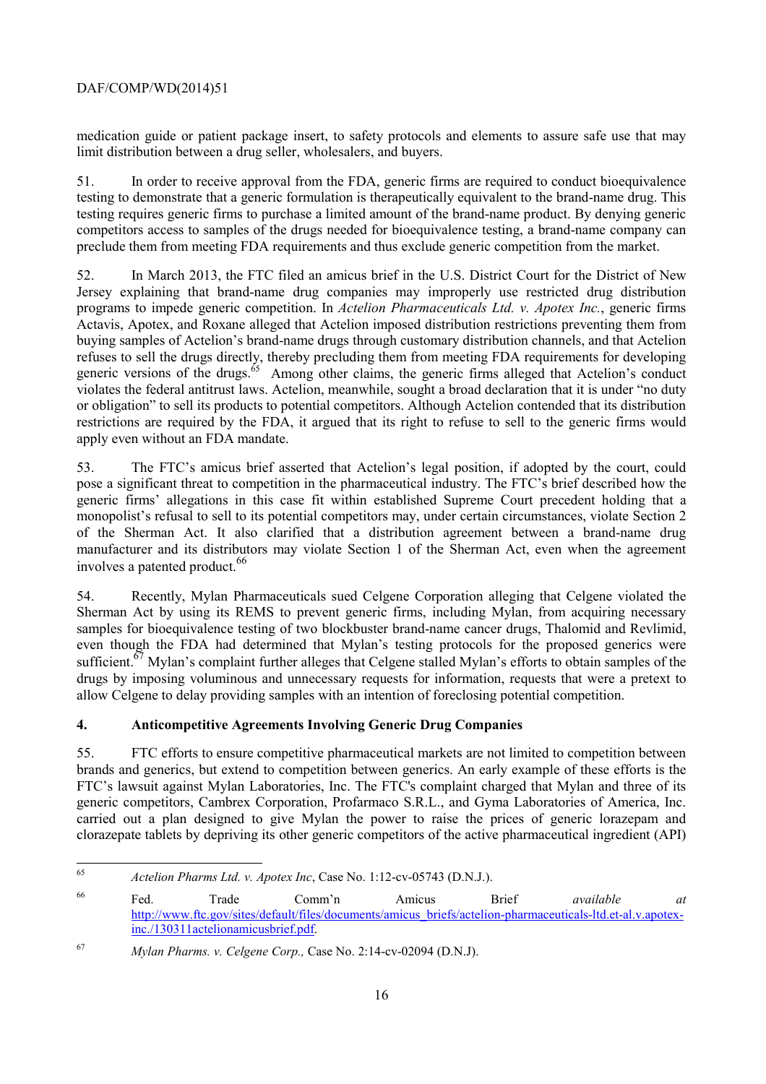medication guide or patient package insert, to safety protocols and elements to assure safe use that may limit distribution between a drug seller, wholesalers, and buyers.

 51. In order to receive approval from the FDA, generic firms are required to conduct bioequivalence competitors access to samples of the drugs needed for bioequivalence testing, a brand-name company can testing to demonstrate that a generic formulation is therapeutically equivalent to the brand-name drug. This testing requires generic firms to purchase a limited amount of the brand-name product. By denying generic preclude them from meeting FDA requirements and thus exclude generic competition from the market.

 restrictions are required by the FDA, it argued that its right to refuse to sell to the generic firms would 52. In March 2013, the FTC filed an amicus brief in the U.S. District Court for the District of New Jersey explaining that brand-name drug companies may improperly use restricted drug distribution programs to impede generic competition. In *Actelion Pharmaceuticals Ltd. v. Apotex Inc.*, generic firms Actavis, Apotex, and Roxane alleged that Actelion imposed distribution restrictions preventing them from buying samples of Actelion's brand-name drugs through customary distribution channels, and that Actelion refuses to sell the drugs directly, thereby precluding them from meeting FDA requirements for developing generic versions of the drugs. $65$  Among other claims, the generic firms alleged that Actelion's conduct violates the federal antitrust laws. Actelion, meanwhile, sought a broad declaration that it is under "no duty or obligation" to sell its products to potential competitors. Although Actelion contended that its distribution apply even without an FDA mandate.

 generic firms' allegations in this case fit within established Supreme Court precedent holding that a 53. The FTC's amicus brief asserted that Actelion's legal position, if adopted by the court, could pose a significant threat to competition in the pharmaceutical industry. The FTC's brief described how the monopolist's refusal to sell to its potential competitors may, under certain circumstances, violate Section 2 of the Sherman Act. It also clarified that a distribution agreement between a brand-name drug manufacturer and its distributors may violate Section 1 of the Sherman Act, even when the agreement involves a patented product.<sup>66</sup>

54. Recently, Mylan Pharmaceuticals sued Celgene Corporation alleging that Celgene violated the Sherman Act by using its REMS to prevent generic firms, including Mylan, from acquiring necessary samples for bioequivalence testing of two blockbuster brand-name cancer drugs, Thalomid and Revlimid, even though the FDA had determined that Mylan's testing protocols for the proposed generics were sufficient.<sup>67</sup> Mylan's complaint further alleges that Celgene stalled Mylan's efforts to obtain samples of the drugs by imposing voluminous and unnecessary requests for information, requests that were a pretext to allow Celgene to delay providing samples with an intention of foreclosing potential competition.

## **4. Anticompetitive Agreements Involving Generic Drug Companies**

 FTC's lawsuit against Mylan Laboratories, Inc. The FTC's complaint charged that Mylan and three of its 55. FTC efforts to ensure competitive pharmaceutical markets are not limited to competition between brands and generics, but extend to competition between generics. An early example of these efforts is the generic competitors, Cambrex Corporation, Profarmaco S.R.L., and Gyma Laboratories of America, Inc. carried out a plan designed to give Mylan the power to raise the prices of generic lorazepam and clorazepate tablets by depriving its other generic competitors of the active pharmaceutical ingredient (API)

<sup>65</sup>*Actelion Pharms Ltd. v. Apotex Inc*, Case No. 1:12-cv-05743 (D.N.J.).

<sup>66</sup> 66 Fed. Trade Comm'n Amicus Brief *available at*  http://www.ftc.gov/sites/default/files/documents/amicus\_briefs/actelion-pharmaceuticals-ltd.et-al.v.apotexinc./130311actelionamicusbrief.pdf.

<sup>67</sup> <sup>67</sup>*Mylan Pharms. v. Celgene Corp.,* Case No. 2:14-cv-02094 (D.N.J).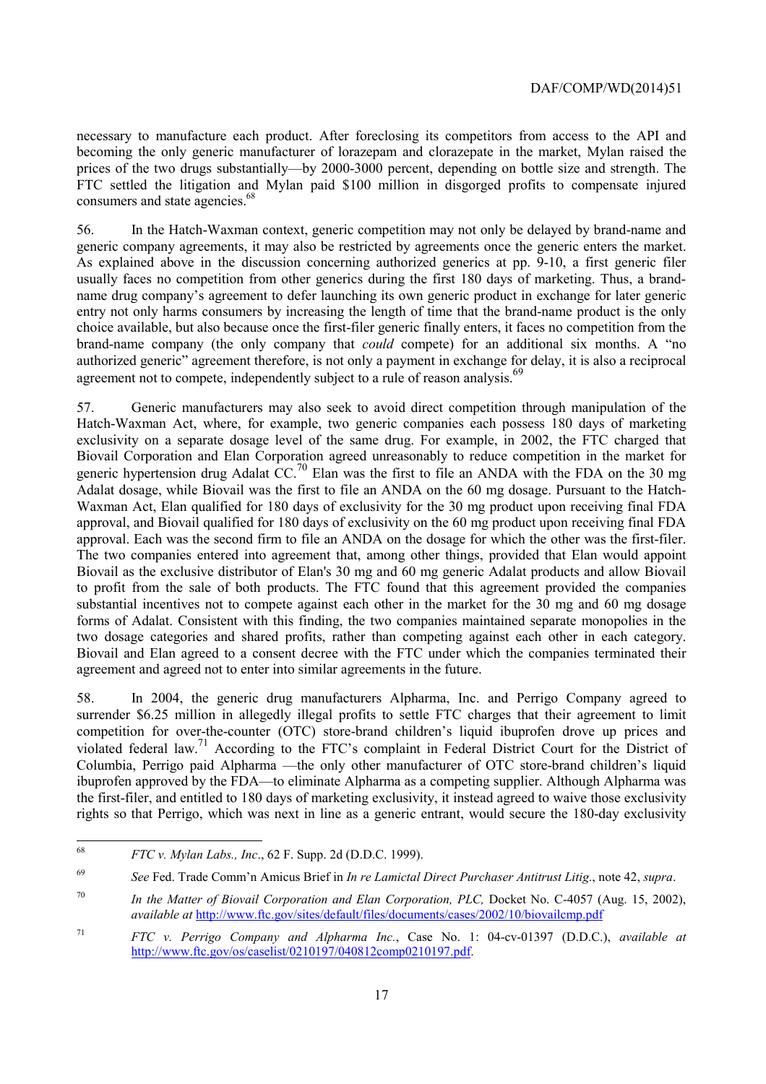FTC settled the litigation and Mylan paid \$100 million in disgorged profits to compensate injured necessary to manufacture each product. After foreclosing its competitors from access to the API and becoming the only generic manufacturer of lorazepam and clorazepate in the market, Mylan raised the prices of the two drugs substantially—by 2000-3000 percent, depending on bottle size and strength. The consumers and state agencies.<sup>68</sup>

 generic company agreements, it may also be restricted by agreements once the generic enters the market. 56. In the Hatch-Waxman context, generic competition may not only be delayed by brand-name and As explained above in the discussion concerning authorized generics at pp. 9-10, a first generic filer usually faces no competition from other generics during the first 180 days of marketing. Thus, a brandname drug company's agreement to defer launching its own generic product in exchange for later generic entry not only harms consumers by increasing the length of time that the brand-name product is the only choice available, but also because once the first-filer generic finally enters, it faces no competition from the brand-name company (the only company that *could* compete) for an additional six months. A "no authorized generic" agreement therefore, is not only a payment in exchange for delay, it is also a reciprocal agreement not to compete, independently subject to a rule of reason analysis.<sup>69</sup>

agreement and agreed not to enter into similar agreements in the future. 57. Generic manufacturers may also seek to avoid direct competition through manipulation of the Hatch-Waxman Act, where, for example, two generic companies each possess 180 days of marketing exclusivity on a separate dosage level of the same drug. For example, in 2002, the FTC charged that Biovail Corporation and Elan Corporation agreed unreasonably to reduce competition in the market for generic hypertension drug Adalat  $CC<sup>70</sup>$  Elan was the first to file an ANDA with the FDA on the 30 mg Adalat dosage, while Biovail was the first to file an ANDA on the 60 mg dosage. Pursuant to the Hatch-Waxman Act, Elan qualified for 180 days of exclusivity for the 30 mg product upon receiving final FDA approval, and Biovail qualified for 180 days of exclusivity on the 60 mg product upon receiving final FDA approval. Each was the second firm to file an ANDA on the dosage for which the other was the first-filer. The two companies entered into agreement that, among other things, provided that Elan would appoint Biovail as the exclusive distributor of Elan's 30 mg and 60 mg generic Adalat products and allow Biovail to profit from the sale of both products. The FTC found that this agreement provided the companies substantial incentives not to compete against each other in the market for the 30 mg and 60 mg dosage forms of Adalat. Consistent with this finding, the two companies maintained separate monopolies in the two dosage categories and shared profits, rather than competing against each other in each category. Biovail and Elan agreed to a consent decree with the FTC under which the companies terminated their

violated federal law.<sup>71</sup> According to the FTC's complaint in Federal District Court for the District of 58. In 2004, the generic drug manufacturers Alpharma, Inc. and Perrigo Company agreed to surrender \$6.25 million in allegedly illegal profits to settle FTC charges that their agreement to limit competition for over-the-counter (OTC) store-brand children's liquid ibuprofen drove up prices and Columbia, Perrigo paid Alpharma —the only other manufacturer of OTC store-brand children's liquid ibuprofen approved by the FDA—to eliminate Alpharma as a competing supplier. Although Alpharma was the first-filer, and entitled to 180 days of marketing exclusivity, it instead agreed to waive those exclusivity rights so that Perrigo, which was next in line as a generic entrant, would secure the 180-day exclusivity

 $\overline{a}$ 

<sup>68</sup> *FTC v. Mylan Labs., Inc*., 62 F. Supp. 2d (D.D.C. 1999).

<sup>69</sup> *See* Fed. Trade Comm'n Amicus Brief in *In re Lamictal Direct Purchaser Antitrust Litig*., note 42, *supra*.

<sup>70</sup> In the Matter of Biovail Corporation and Elan Corporation, PLC, Docket No. C-4057 (Aug. 15, 2002), *available at* http://www.ftc.gov/sites/default/files/documents/cases/2002/10/biovailcmp.pdf

<sup>71</sup> *FTC v. Perrigo Company and Alpharma Inc.*, Case No. 1: 04-cv-01397 (D.D.C.), *available at*  http://www.ftc.gov/os/caselist/0210197/040812comp0210197.pdf.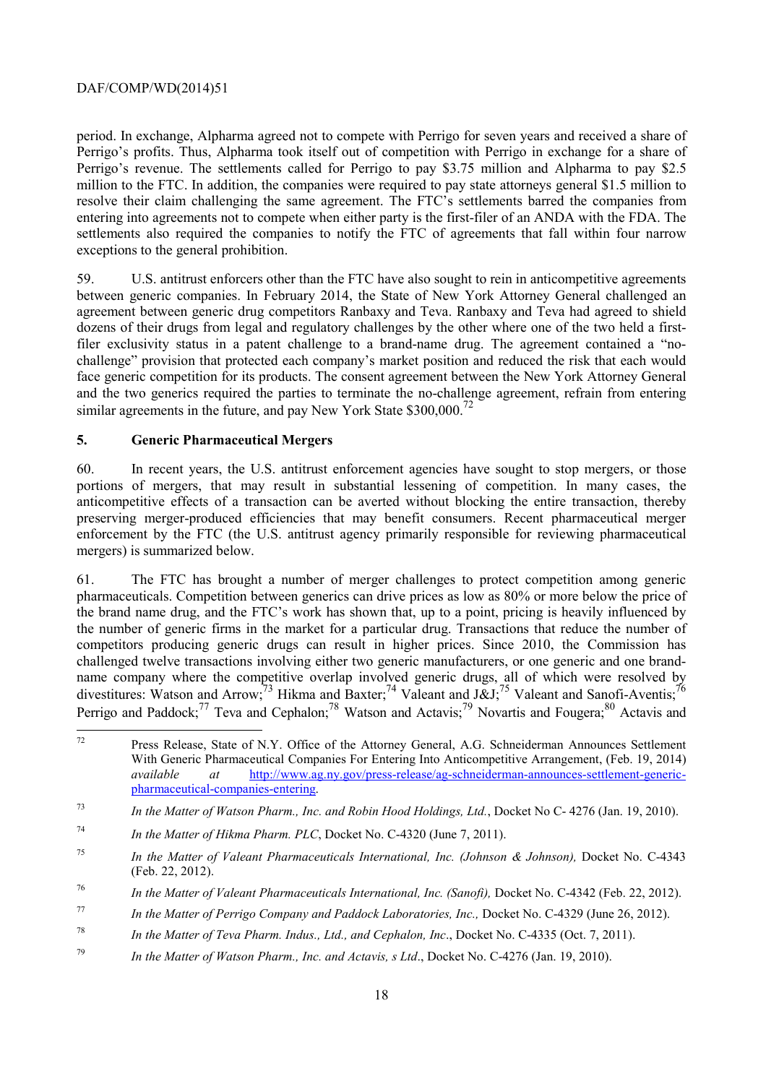entering into agreements not to compete when either party is the first-filer of an ANDA with the FDA. The period. In exchange, Alpharma agreed not to compete with Perrigo for seven years and received a share of Perrigo's profits. Thus, Alpharma took itself out of competition with Perrigo in exchange for a share of Perrigo's revenue. The settlements called for Perrigo to pay \$3.75 million and Alpharma to pay \$2.5 million to the FTC. In addition, the companies were required to pay state attorneys general \$1.5 million to resolve their claim challenging the same agreement. The FTC's settlements barred the companies from settlements also required the companies to notify the FTC of agreements that fall within four narrow exceptions to the general prohibition.

similar agreements in the future, and pay New York State  $$300,000.<sup>72</sup>$ 59. U.S. antitrust enforcers other than the FTC have also sought to rein in anticompetitive agreements between generic companies. In February 2014, the State of New York Attorney General challenged an agreement between generic drug competitors Ranbaxy and Teva. Ranbaxy and Teva had agreed to shield dozens of their drugs from legal and regulatory challenges by the other where one of the two held a firstfiler exclusivity status in a patent challenge to a brand-name drug. The agreement contained a "nochallenge" provision that protected each company's market position and reduced the risk that each would face generic competition for its products. The consent agreement between the New York Attorney General and the two generics required the parties to terminate the no-challenge agreement, refrain from entering

#### **5. Generic Pharmaceutical Mergers**

 $\overline{a}$ 

60. In recent years, the U.S. antitrust enforcement agencies have sought to stop mergers, or those portions of mergers, that may result in substantial lessening of competition. In many cases, the anticompetitive effects of a transaction can be averted without blocking the entire transaction, thereby preserving merger-produced efficiencies that may benefit consumers. Recent pharmaceutical merger enforcement by the FTC (the U.S. antitrust agency primarily responsible for reviewing pharmaceutical mergers) is summarized below.

61. The FTC has brought a number of merger challenges to protect competition among generic pharmaceuticals. Competition between generics can drive prices as low as 80% or more below the price of the brand name drug, and the FTC's work has shown that, up to a point, pricing is heavily influenced by the number of generic firms in the market for a particular drug. Transactions that reduce the number of competitors producing generic drugs can result in higher prices. Since 2010, the Commission has challenged twelve transactions involving either two generic manufacturers, or one generic and one brandname company where the competitive overlap involved generic drugs, all of which were resolved by divestitures: Watson and Arrow;<sup>73</sup> Hikma and Baxter;<sup>74</sup> Valeant and J&J;<sup>75</sup> Valeant and Sanofi-Aventis;<sup>7</sup> Perrigo and Paddock;<sup>77</sup> Teva and Cephalon;<sup>78</sup> Watson and Actavis;<sup>79</sup> Novartis and Fougera;<sup>80</sup> Actavis and

Press Release, State of N.Y. Office of the Attorney General, A.G. Schneiderman Announces Settlement With Generic Pharmaceutical Companies For Entering Into Anticompetitive Arrangement, (Feb. 19, 2014) *available at* http://www.ag.ny.gov/press-release/ag-schneiderman-announces-settlement-genericpharmaceutical-companies-entering.

<sup>73</sup> *In the Matter of Watson Pharm., Inc. and Robin Hood Holdings, Ltd.*, Docket No C- 4276 (Jan. 19, 2010).

<sup>&</sup>lt;sup>74</sup> *In the Matter of Hikma Pharm. PLC*, Docket No. C-4320 (June 7, 2011).

<sup>75</sup> In the Matter of Valeant Pharmaceuticals International, Inc. (Johnson & Johnson), Docket No. C-4343 (Feb. 22, 2012).

<sup>76</sup> In the Matter of Valeant Pharmaceuticals International, Inc. (Sanofi), Docket No. C-4342 (Feb. 22, 2012).

<sup>77</sup> *In the Matter of Perrigo Company and Paddock Laboratories, Inc., Docket No. C-4329 (June 26, 2012).* 

<sup>78</sup> *In the Matter of Teva Pharm. Indus., Ltd., and Cephalon, Inc*., Docket No. C-4335 (Oct. 7, 2011).

<sup>79</sup> *In the Matter of Watson Pharm., Inc. and Actavis, s Ltd*., Docket No. C-4276 (Jan. 19, 2010).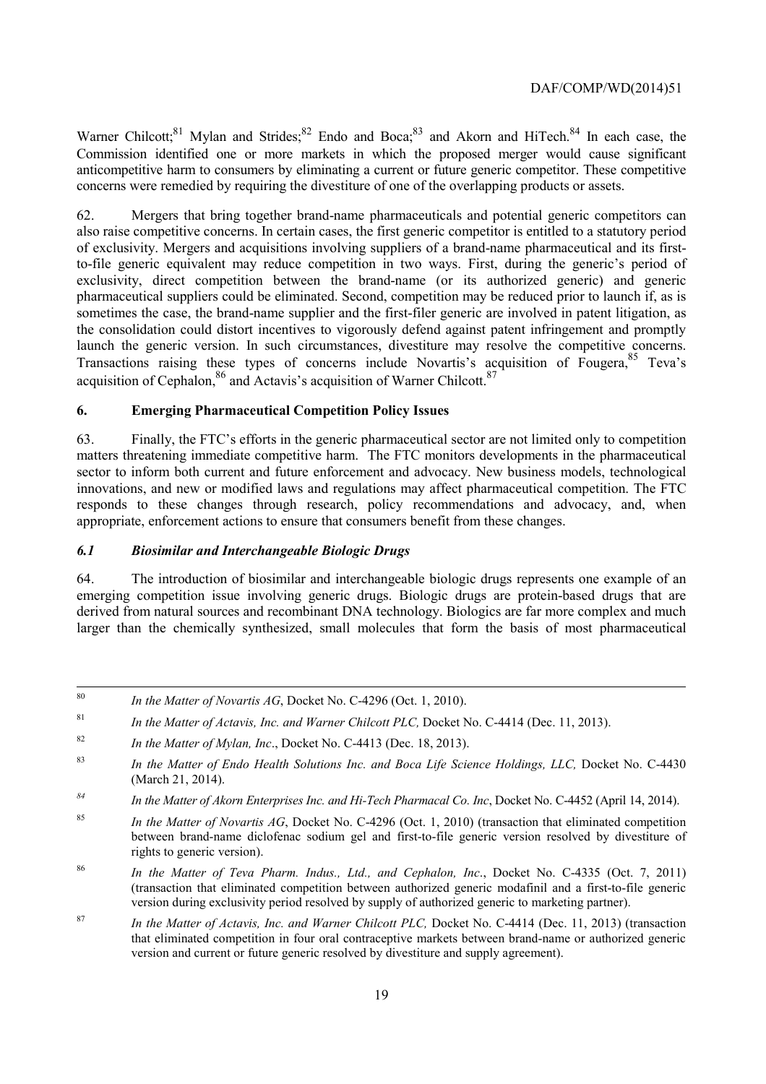Warner Chilcott;<sup>81</sup> Mylan and Strides;<sup>82</sup> Endo and Boca;<sup>83</sup> and Akorn and HiTech.<sup>84</sup> In each case, the Commission identified one or more markets in which the proposed merger would cause significant anticompetitive harm to consumers by eliminating a current or future generic competitor. These competitive concerns were remedied by requiring the divestiture of one of the overlapping products or assets.

62. Mergers that bring together brand-name pharmaceuticals and potential generic competitors can also raise competitive concerns. In certain cases, the first generic competitor is entitled to a statutory period of exclusivity. Mergers and acquisitions involving suppliers of a brand-name pharmaceutical and its firstto-file generic equivalent may reduce competition in two ways. First, during the generic's period of exclusivity, direct competition between the brand-name (or its authorized generic) and generic pharmaceutical suppliers could be eliminated. Second, competition may be reduced prior to launch if, as is sometimes the case, the brand-name supplier and the first-filer generic are involved in patent litigation, as the consolidation could distort incentives to vigorously defend against patent infringement and promptly launch the generic version. In such circumstances, divestiture may resolve the competitive concerns. Transactions raising these types of concerns include Novartis's acquisition of Fougera,<sup>85</sup> Teva's acquisition of Cephalon,  $86$  and Actavis's acquisition of Warner Chilcott  $87$ 

#### **6. Emerging Pharmaceutical Competition Policy Issues**

 innovations, and new or modified laws and regulations may affect pharmaceutical competition. The FTC 63. Finally, the FTC's efforts in the generic pharmaceutical sector are not limited only to competition matters threatening immediate competitive harm. The FTC monitors developments in the pharmaceutical sector to inform both current and future enforcement and advocacy. New business models, technological responds to these changes through research, policy recommendations and advocacy, and, when appropriate, enforcement actions to ensure that consumers benefit from these changes.

#### *6.1 Biosimilar and Interchangeable Biologic Drugs*

64. The introduction of biosimilar and interchangeable biologic drugs represents one example of an emerging competition issue involving generic drugs. Biologic drugs are protein-based drugs that are derived from natural sources and recombinant DNA technology. Biologics are far more complex and much larger than the chemically synthesized, small molecules that form the basis of most pharmaceutical

 $80$ In the Matter of Novartis AG, Docket No. C-4296 (Oct. 1, 2010).

<sup>&</sup>lt;sup>81</sup> *In the Matter of Actavis, Inc. and Warner Chilcott PLC, Docket No. C-4414 (Dec. 11, 2013).* 

<sup>&</sup>lt;sup>82</sup> *In the Matter of Mylan, Inc., Docket No. C-4413 (Dec. 18, 2013).* 

<sup>83</sup> *In the Matter of Endo Health Solutions Inc. and Boca Life Science Holdings, LLC, Docket No. C-4430* (March 21, 2014).

 *In the Matter of Akorn Enterprises Inc. and Hi-Tech Pharmacal Co. Inc. Docket No. C-4452 (April 14, 2014).* 

<sup>&</sup>lt;sup>85</sup> *In the Matter of Novartis AG*, Docket No. C-4296 (Oct. 1, 2010) (transaction that eliminated competition between brand-name diclofenac sodium gel and first-to-file generic version resolved by divestiture of rights to generic version).

<sup>86</sup> *In the Matter of Teva Pharm. Indus., Ltd., and Cephalon, Inc*., Docket No. C-4335 (Oct. 7, 2011) (transaction that eliminated competition between authorized generic modafinil and a first-to-file generic version during exclusivity period resolved by supply of authorized generic to marketing partner).

 that eliminated competition in four oral contraceptive markets between brand-name or authorized generic <sup>87</sup> *In the Matter of Actavis, Inc. and Warner Chilcott PLC, Docket No. C-4414 (Dec. 11, 2013) (transaction* version and current or future generic resolved by divestiture and supply agreement).